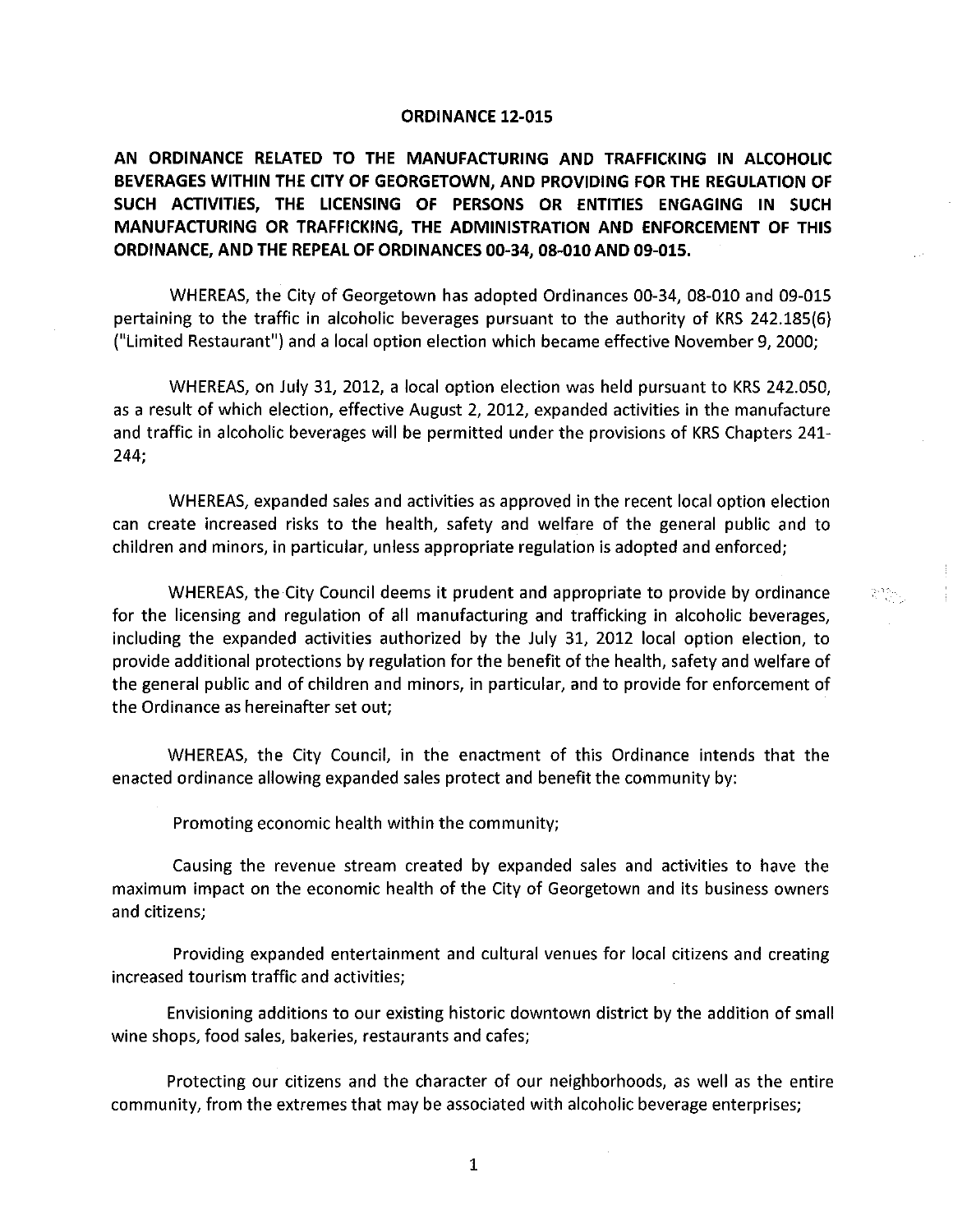### **ORDINANCE 12-015**

**AN ORDINANCE RELATED TO THE MANUFACTURING AND TRAFFICKING IN ALCOHOLIC BEVERAGES WITHIN THE CITY OF GEORGETOWN, AND PROVIDING FOR THE REGULATION OF SUCH ACTIVITIES, THE LICENSING OF PERSONS OR ENTITIES ENGAGING IN SUCH MANUFACTURING OR TRAFFICKING, THE ADMINISTRATION AND ENFORCEMENT OF THIS ORDINANCE, AND THE REPEAL OF ORDINANCES 00-34, 08-010 AND 09-015.** 

WHEREAS, the City of Georgetown has adopted Ordinances 00-34, 08-010 and 09-015 pertaining to the traffic in alcoholic beverages pursuant to the authority of KRS 242.185(6) ("Limited Restaurant") and a local option election which became effective November 9, 2000;

WHEREAS, on July 31, 2012, a local option election was held pursuant to KRS 242.050, as a result of which election, effective August 2, 2012, expanded activities in the manufacture and traffic in alcoholic beverages will be permitted under the provisions of KRS Chapters 241- 244;

WHEREAS, expanded sales and activities as approved in the recent local option election can create increased risks to the health, safety and welfare of the general public and to children and minors, in particular, unless appropriate regulation is adopted and enforced;

WHEREAS, the City Council deems it prudent and appropriate to provide by ordinance for the licensing and regulation of all manufacturing and trafficking in alcoholic beverages, including the expanded activities authorized by the July 31, 2012 local option election, to provide additional protections by regulation for the benefit of the health, safety and welfare of the general public and of children and minors, in particular, and to provide for enforcement of the Ordinance as hereinafter set out;

ang.<br>K

WHEREAS, the City Council, in the enactment of this Ordinance intends that the enacted ordinance allowing expanded sales protect and benefit the community by:

Promoting economic health within the community;

Causing the revenue stream created by expanded sales and activities to have the maximum impact on the economic health of the City of Georgetown and its business owners and citizens;

Providing expanded entertainment and cultural venues for local citizens and creating increased tourism traffic and activities;

Envisioning additions to our existing historic downtown district by the addition of small wine shops, food sales, bakeries, restaurants and cafes;

Protecting our citizens and the character of our neighborhoods, as well as the entire community, from the extremes that may be associated with alcoholic beverage enterprises;

1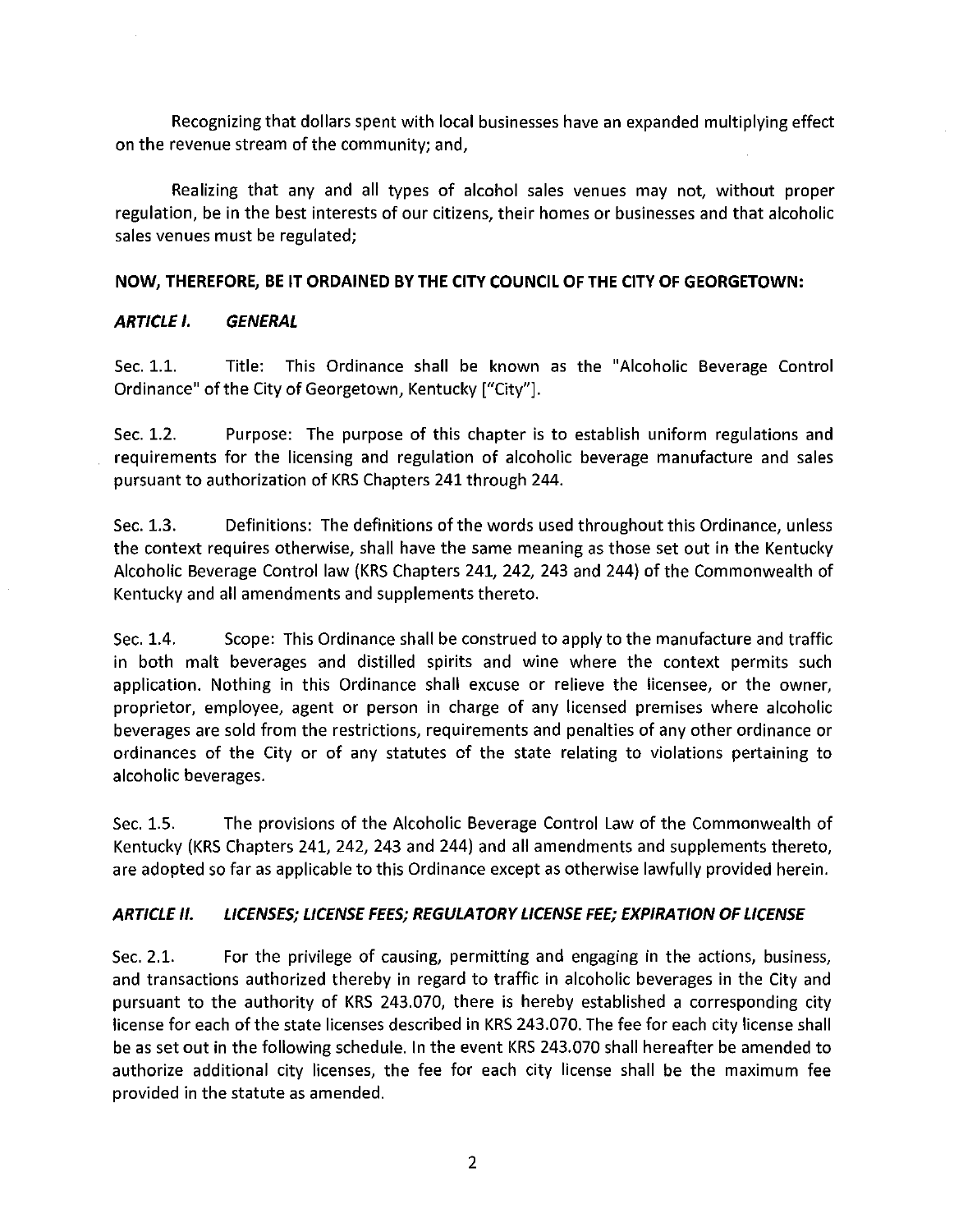Recognizing that dollars spent with local businesses have an expanded multiplying effect on the revenue stream of the community; and,

Realizing that any and all types of alcohol sales venues may not, without proper regulation, be in the best interests of our citizens, their homes or businesses and that alcoholic sales venues must be regulated;

### **NOW, THEREFORE, BE IT ORDAINED BY THE CITY COUNCIL OF THE CITY OF GEORGETOWN:**

## **ARTICLE I. GENERAL**

Sec. 1.1. Title: This Ordinance shall be known as the "Alcoholic Beverage Control Ordinance" of the City of Georgetown, Kentucky ["City"].

Sec. 1.2. Purpose: The purpose of this chapter is to establish uniform regulations and requirements for the licensing and regulation of alcoholic beverage manufacture and sales pursuant to authorization of KRS Chapters 241 through 244.

Sec. 1.3. Definitions: The definitions of the words used throughout this Ordinance, unless the context requires otherwise, shall have the same meaning as those set out in the Kentucky Alcoholic Beverage Control law (KRS Chapters 241, 242, 243 and 244) of the Commonwealth of Kentucky and all amendments and supplements thereto.

Sec. 1.4. Scope: This Ordinance shall be construed to apply to the manufacture and traffic in both malt beverages and distilled spirits and wine where the context permits such application. Nothing in this Ordinance shall excuse or relieve the licensee, or the owner, proprietor, employee, agent or person in charge of any licensed premises where alcoholic beverages are sold from the restrictions, requirements and penalties of any other ordinance or ordinances of the City or of any statutes of the state relating to violations pertaining to alcoholic beverages.

Sec. 1.5. The provisions of the Alcoholic Beverage Control Law of the Commonwealth of Kentucky (KRS Chapters 241, 242, 243 and 244) and all amendments and supplements thereto, are adopted so far as applicable to this Ordinance except as otherwise lawfully provided herein.

## **ARTICLE II. LICENSES; LICENSE FEES; REGULATORY LICENSE FEE; EXPIRATION OF LICENSE**

Sec. 2.1. For the privilege of causing, permitting and engaging in the actions, business, and transactions authorized thereby in regard to traffic in alcoholic beverages in the City and pursuant to the authority of KRS 243.070, there is hereby established a corresponding city license for each of the state licenses described in KRS 243.070. The fee for each city license shall be as set out in the following schedule. In the event KRS 243.070 shall hereafter be amended to authorize additional city licenses, the fee for each city license shall be the maximum fee provided in the statute as amended.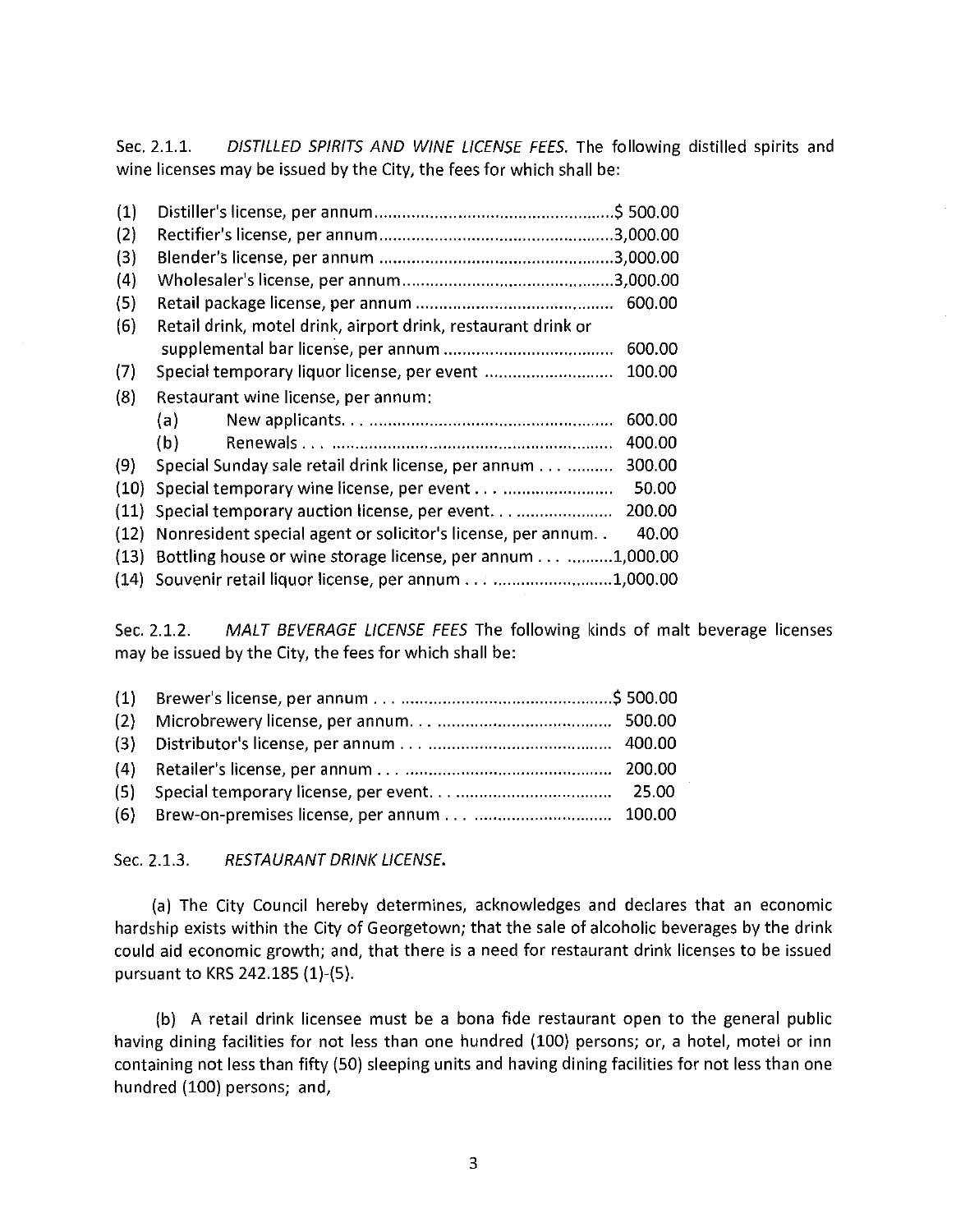Sec. 2.1.1. DISTILLED SPIRITS AND WINE LICENSE FEES. The following distilled spirits and wine licenses may be issued by the City, the fees for which shall be:

| (1)  |                                                               |        |
|------|---------------------------------------------------------------|--------|
| (2)  |                                                               |        |
| (3)  |                                                               |        |
| (4)  |                                                               |        |
| (5)  |                                                               | 600.00 |
| (6)  | Retail drink, motel drink, airport drink, restaurant drink or |        |
|      |                                                               | 600.00 |
| (7)  | Special temporary liquor license, per event                   | 100.00 |
| (8)  | Restaurant wine license, per annum:                           |        |
|      | (a)                                                           | 600.00 |
|      | (b)                                                           | 400.00 |
| (9)  | Special Sunday sale retail drink license, per annum           | 300.00 |
| (10) |                                                               | 50.00  |
| (11) |                                                               | 200.00 |
| (12) | Nonresident special agent or solicitor's license, per annum   | 40.00  |
| (13) | Bottling house or wine storage license, per annum1,000.00     |        |
|      | (14) Souvenir retail liquor license, per annum1,000.00        |        |

Sec. 2.1.2. MALT BEVERAGE LICENSE FEES The following kinds of malt beverage licenses may be issued by the City, the fees for which shall be:

| (5) |  |
|-----|--|
|     |  |

### Sec. 2.1.3. RESTAURANT DRINK LICENSE.

(a) The City Council hereby determines, acknowledges and declares that an economic hardship exists within the City of Georgetown; that the sale of alcoholic beverages by the drink could aid economic growth; and, that there is a need for restaurant drink licenses to be issued pursuant to KRS 242.185 (1)-(5).

(b) A retail drink licensee must be a bona fide restaurant open to the general public having dining facilities for not less than one hundred (100) persons; or, a hotel, motel or inn containing not less than fifty (50) sleeping units and having dining facilities for not less than one hundred (100) persons; and,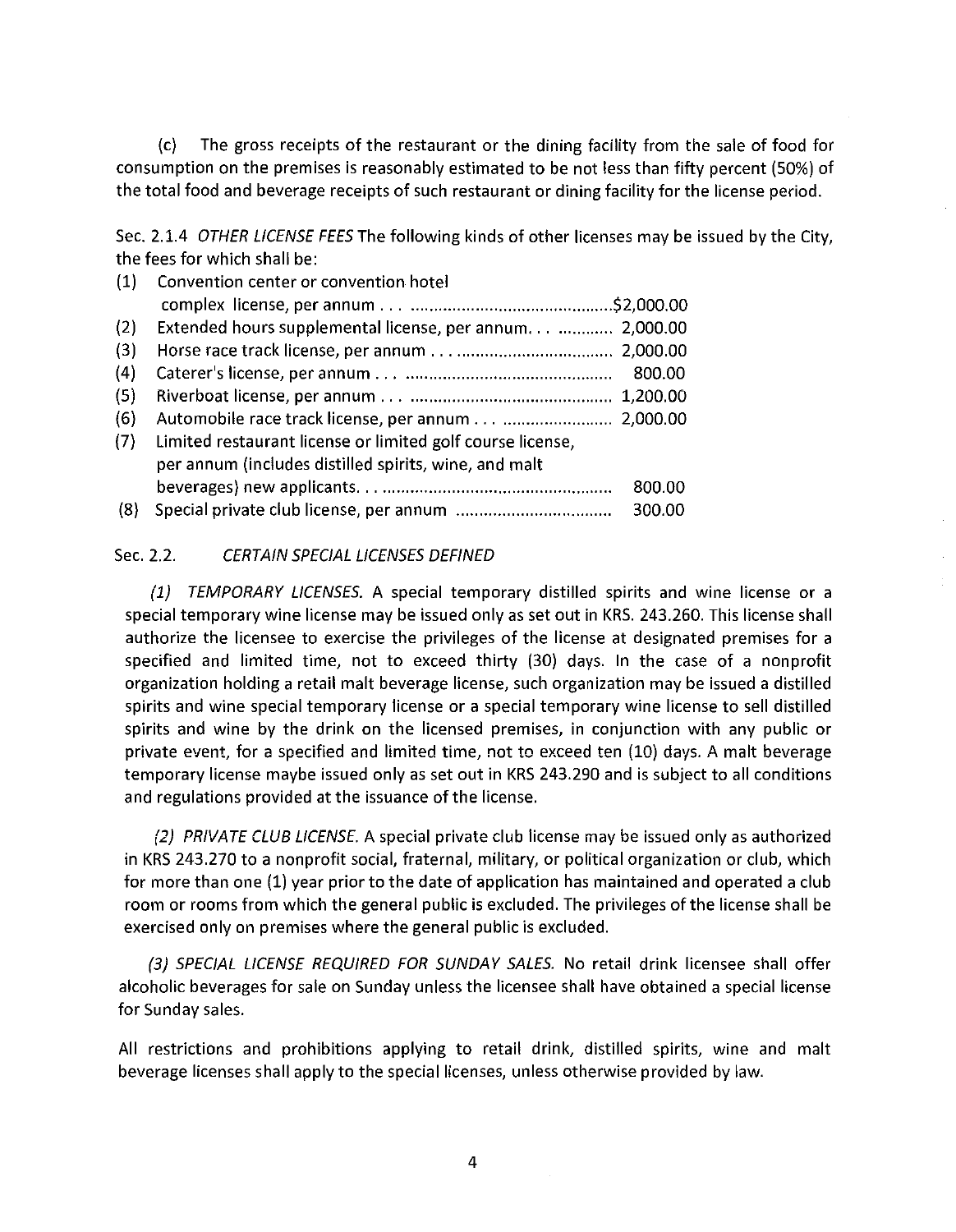(c) The gross receipts of the restaurant or the dining facility from the sale of food for consumption on the premises is reasonably estimated to be not less than fifty percent (50%) of the total food and beverage receipts of such restaurant or dining facility for the license period.

Sec. 2.1.4 OTHER LICENSE FEES The following kinds of other licenses may be issued by the City, the fees for which shall be:

| (1) | Convention center or convention hotel                      |
|-----|------------------------------------------------------------|
|     |                                                            |
| (2) | Extended hours supplemental license, per annum 2,000.00    |
| (3) |                                                            |
| (4) |                                                            |
| (5) |                                                            |
| (6) | Automobile race track license, per annum 2,000.00          |
| (7) | Limited restaurant license or limited golf course license, |
|     | per annum (includes distilled spirits, wine, and malt      |
|     | 800.00                                                     |
| (8) | 300.00                                                     |

### Sec. 2.2. CERTAIN SPECIAL LICENSES DEFINED

(1) TEMPORARY LICENSES. A special temporary distilled spirits and wine license or a special temporary wine license may be issued only as set out in KRS. 243.260. This license shall authorize the licensee to exercise the privileges of the license at designated premises for a specified and limited time, not to exceed thirty (30) days. In the case of a nonprofit organization holding a retail malt beverage license, such organization may be issued a distilled spirits and wine special temporary license or a special temporary wine license to sell distilled spirits and wine by the drink on the licensed premises, in conjunction with any public or private event, for a specified and limited time, not to exceed ten (10) days. A malt beverage temporary license maybe issued only as set out in KRS 243.290 and is subject to all conditions and regulations provided at the issuance of the license.

(2) PRIVATE CLUB LICENSE. A special private club license may be issued only as authorized in KRS 243.270 to a nonprofit social, fraternal, military, or political organization or club, which for more than one (1) year prior to the date of application has maintained and operated a club room or rooms from which the general public is excluded. The privileges of the license shall be exercised only on premises where the general public is excluded.

{3} SPECIAL LICENSE REQUIRED FOR SUNDAY SALES. No retail drink licensee shall offer alcoholic beverages for sale on Sunday unless the licensee shall have obtained a special license for Sunday sales.

All restrictions and prohibitions applying to retail drink, distilled spirits, wine and malt beverage licenses shall apply to the special licenses, unless otherwise provided by law.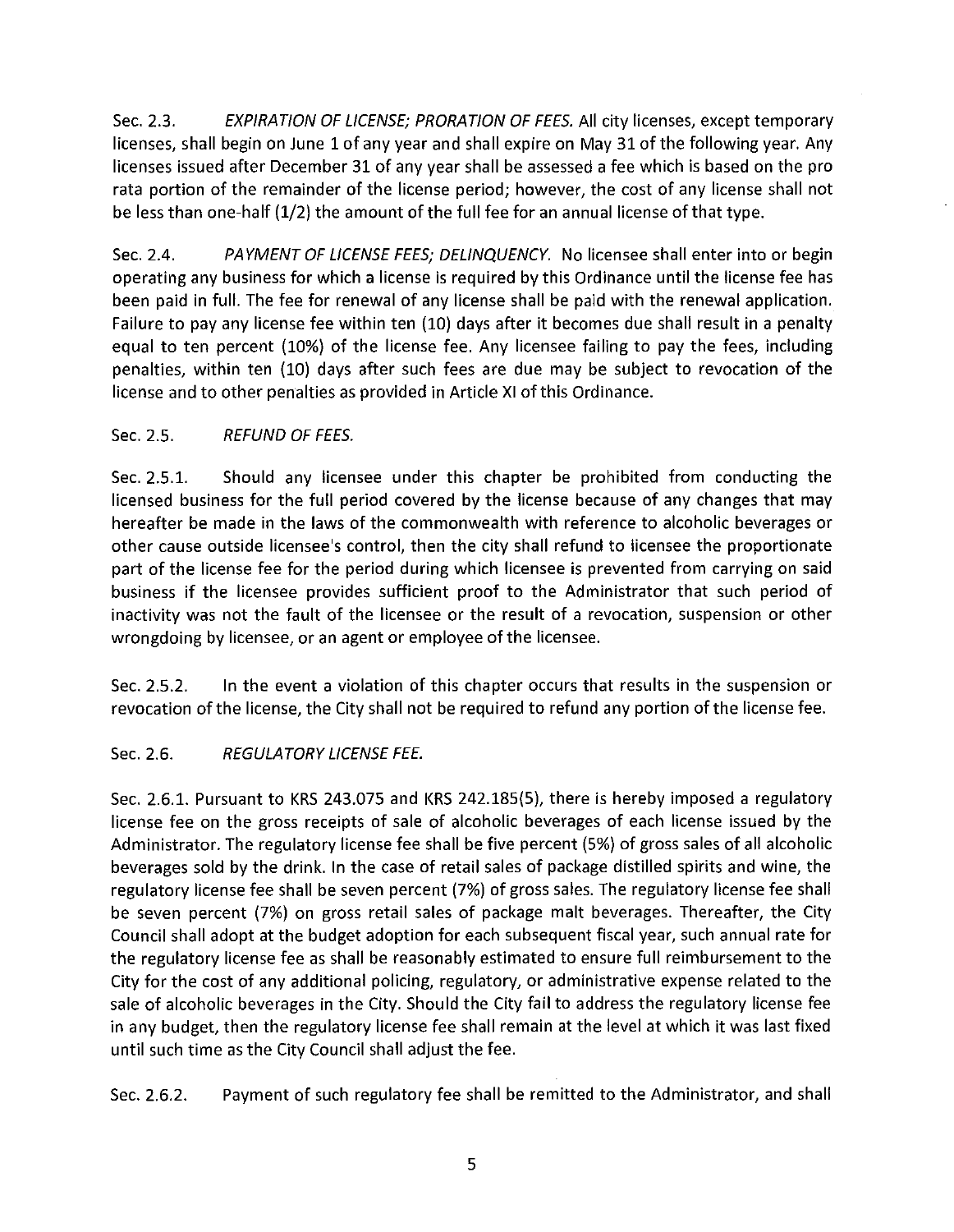Sec. 2.3. EXPIRATION OF LICENSE; PRORATION OF FEES. All city licenses, except temporary licenses, shall begin on June 1 of any year and shall expire on May 31 of the following year. Any licenses issued after December 31 of any year shall be assessed a fee which is based on the pro rata portion of the remainder of the license period; however, the cost of any license shall not be less than one-half (1/2) the amount of the full fee for an annual license of that type.

Sec. 2.4. PAYMENT OF LICENSE FEES; DELINQUENCY. No licensee shall enter into or begin operating any business for which a license is required by this Ordinance until the license fee has been paid in full. The fee for renewal of any license shall be paid with the renewal application. Failure to pay any license fee within ten (10) days after it becomes due shall result in a penalty equal to ten percent (10%) of the license fee. Any licensee failing to pay the fees, including penalties, within ten (10) days after such fees are due may be subject to revocation of the license and to other penalties as provided in Article XI of this Ordinance.

## Sec. 2.5. REFUND OF FEES.

Sec. 2.5.1. Should any licensee under this chapter be prohibited from conducting the licensed business for the full period covered by the license because of any changes that may hereafter be made in the laws of the commonwealth with reference to alcoholic beverages or other cause outside licensee's control, then the city shall refund to licensee the proportionate part of the license fee for the period during which licensee is prevented from carrying on said business if the licensee provides sufficient proof to the Administrator that such period of inactivity was not the fault of the licensee or the result of a revocation, suspension or other wrongdoing by licensee, or an agent or employee of the licensee.

Sec. 2.5.2. In the event a violation of this chapter occurs that results in the suspension or revocation of the license, the City shall not be required to refund any portion of the license fee.

# Sec. 2.6. REGULATORY LICENSE FEE.

Sec. 2.6.1. Pursuant to KRS 243.075 and KRS 242.185(5), there is hereby imposed a regulatory license fee on the gross receipts of sale of alcoholic beverages of each license issued by the Administrator. The regulatory license fee shall be five percent (5%) of gross sales of all alcoholic beverages sold by the drink. In the case of retail sales of package distilled spirits and wine, the regulatory license fee shall be seven percent (7%) of gross sales. The regulatory license fee shall be seven percent (7%) on gross retail sales of package malt beverages. Thereafter, the City Council shall adopt at the budget adoption for each subsequent fiscal year, such annual rate for the regulatory license fee as shall be reasonably estimated to ensure full reimbursement to the City for the cost of any additional policing, regulatory, or administrative expense related to the sale of alcoholic beverages in the City. Should the City fail to address the regulatory license fee in any budget, then the regulatory license fee shall remain at the level at which it was last fixed until such time as the City Council shall adjust the fee.

Sec. 2.6.2. Payment of such regulatory fee shall be remitted to the Administrator, and shall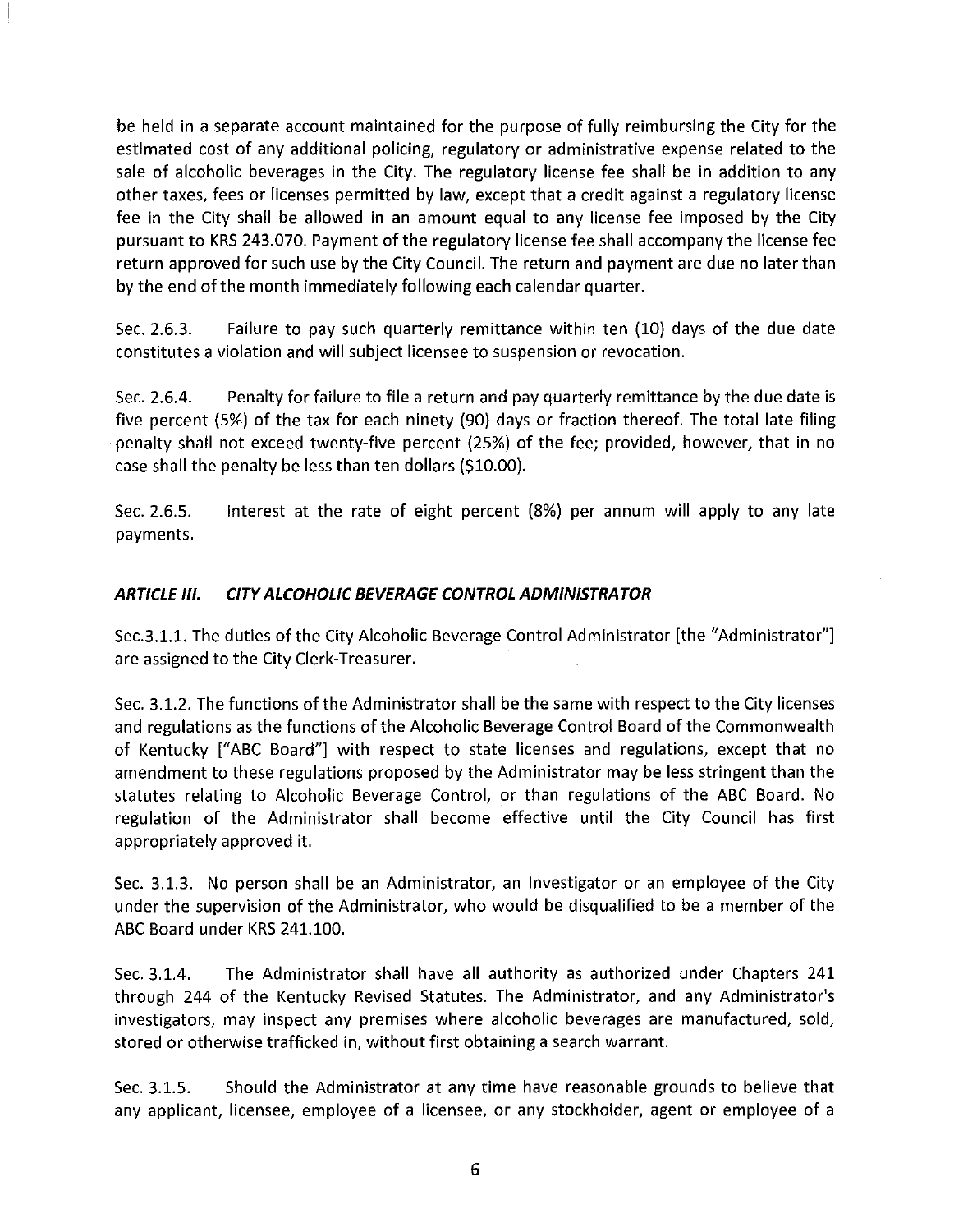be held in a separate account maintained for the purpose of fully reimbursing the City for the estimated cost of any additional policing, regulatory or administrative expense related to the sale of alcoholic beverages in the City. The regulatory license fee shall be in addition to any other taxes, fees or licenses permitted by law, except that a credit against a regulatory license fee in the City shall be allowed in an amount equal to any license fee imposed by the City pursuant to KRS 243.070. Payment of the regulatory license fee shall accompany the license fee return approved for such use by the City Council. The return and payment are due no later than by the end of the month immediately following each calendar quarter.

Sec. 2.6.3. Failure to pay such quarterly remittance within ten (10) days of the due date constitutes a violation and will subject licensee to suspension or revocation.

Sec. 2.6.4. Penalty for failure to file a return and pay quarterly remittance by the due date is five percent (5%) of the tax for each ninety (90) days or fraction thereof. The total late filing penalty shall not exceed twenty-five percent (25%) of the fee; provided, however, that in no case shall the penalty be less than ten dollars (\$10.00).

Sec. 2.6.5. payments. Interest at the rate of eight percent (8%) per annum will apply to any late

## **ARTICLE Ill. CITY ALCOHOLIC BEVERAGE CONTROL ADMINISTRATOR**

Sec.3.1.1. The duties of the City Alcoholic Beverage Control Administrator [the "Administrator"] are assigned to the City Clerk-Treasurer.

Sec. 3.1.2. The functions of the Administrator shall be the same with respect to the City licenses and regulations as the functions of the Alcoholic Beverage Control Board of the Commonwealth of Kentucky ["ABC Board"] with respect to state licenses and regulations, except that no amendment to these regulations proposed by the Administrator may be less stringent than the statutes relating to Alcoholic Beverage Control, or than regulations of the ABC Board. No regulation of the Administrator shall become effective until the City Council has first appropriately approved it.

Sec. 3.1.3. No person shall be an Administrator, an Investigator or an employee of the City under the supervision of the Administrator, who would be disqualified to be a member of the ABC Board under KRS 241.100.

Sec. 3.1.4. The Administrator shall have all authority as authorized under Chapters 241 through 244 of the Kentucky Revised Statutes. The Administrator, and any Administrator's investigators, may inspect any premises where alcoholic beverages are manufactured, sold, stored or otherwise trafficked in, without first obtaining a search warrant.

Sec. 3.1.5. Should the Administrator at any time have reasonable grounds to believe that any applicant, licensee, employee of a licensee, or any stockholder, agent or employee of a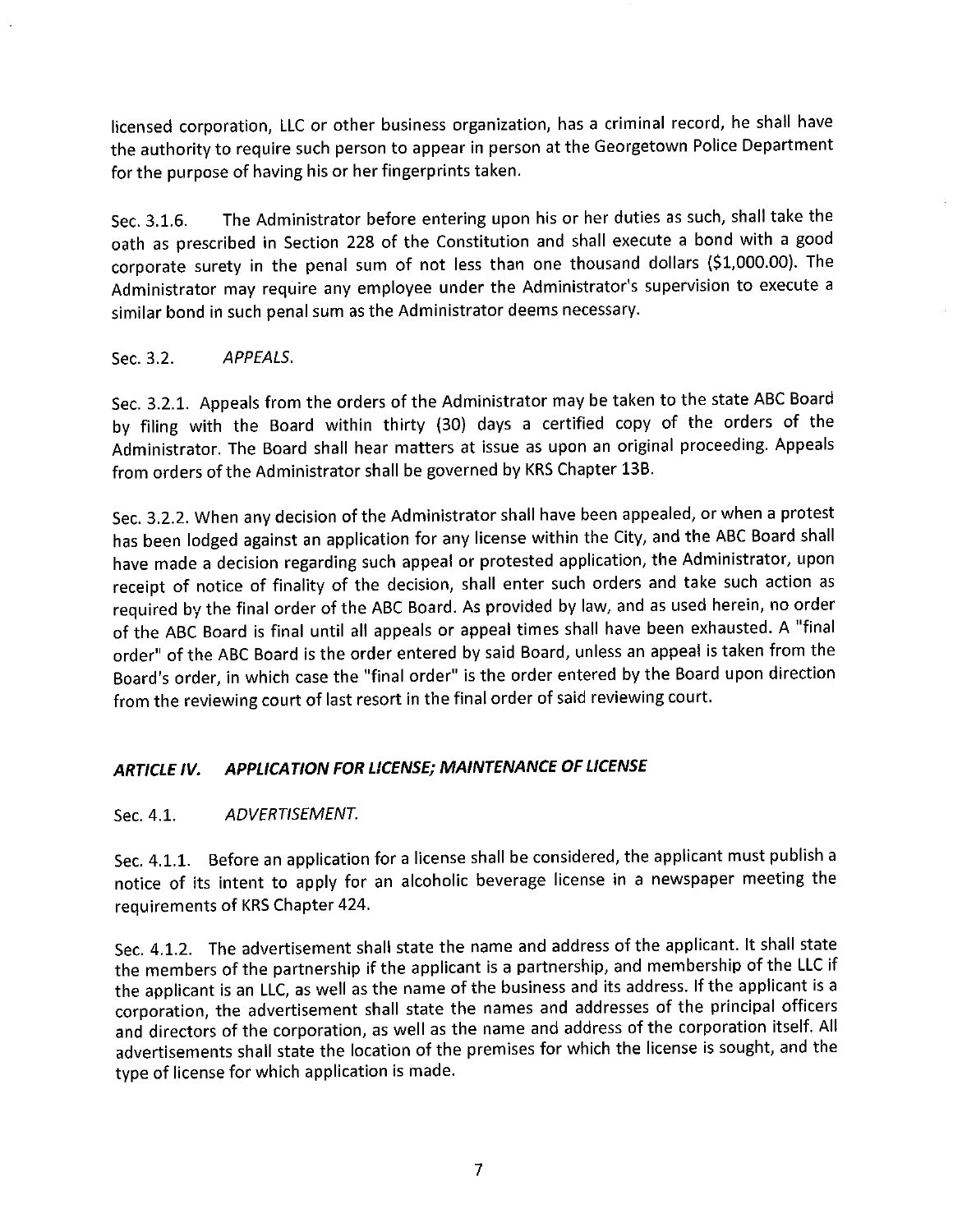licensed corporation, LLC or other business organization, has a criminal record, he shall have the authority to require such person to appear in person at the Georgetown Police Department for the purpose of having his or her fingerprints taken.

The Administrator before entering upon his or her duties as such, shall take the Sec. 3.1.6. oath as prescribed in Section 228 of the Constitution and shall execute a bond with a good corporate surety in the penal sum of not less than one thousand dollars (\$1,000.00). The Administrator may require any employee under the Administrator's supervision to execute a similar bond in such penal sum as the Administrator deems necessary.

Sec. 3.2. APPEALS.

Sec. 3.2.1. Appeals from the orders of the Administrator may be taken to the state ABC Board by filing with the Board within thirty (30) days a certified copy of the orders of the Administrator. The Board shall hear matters at issue as upon an original proceeding. Appeals from orders of the Administrator shall be governed by KRS Chapter 13B.

Sec. 3.2.2. When any decision of the Administrator shall have been appealed, or when a protest has been lodged against an application for any license within the City, and the ABC Board shall have made a decision regarding such appeal or protested application, the Administrator, upon receipt of notice of finality of the decision, shall enter such orders and take such action as required by the final order of the ABC Board. As provided by law, and as used herein, no order of the ABC Board is final until all appeals or appeal times shall have been exhausted. A "final order" of the ABC Board is the order entered by said Board, unless an appeal is taken from the Board's order, in which case the "final order" is the order entered by the Board upon direction from the reviewing court of last resort in the final order of said reviewing court.

#### APPLICATION FOR LICENSE; MAINTENANCE OF LICENSE **ARTICLE IV.**

#### ADVERTISEMENT. Sec. 4.1.

Sec. 4.1.1. Before an application for a license shall be considered, the applicant must publish a notice of its intent to apply for an alcoholic beverage license in a newspaper meeting the requirements of KRS Chapter 424.

Sec. 4.1.2. The advertisement shall state the name and address of the applicant. It shall state the members of the partnership if the applicant is a partnership, and membership of the LLC if the applicant is an LLC, as well as the name of the business and its address. If the applicant is a corporation, the advertisement shall state the names and addresses of the principal officers and directors of the corporation, as well as the name and address of the corporation itself. All advertisements shall state the location of the premises for which the license is sought, and the type of license for which application is made.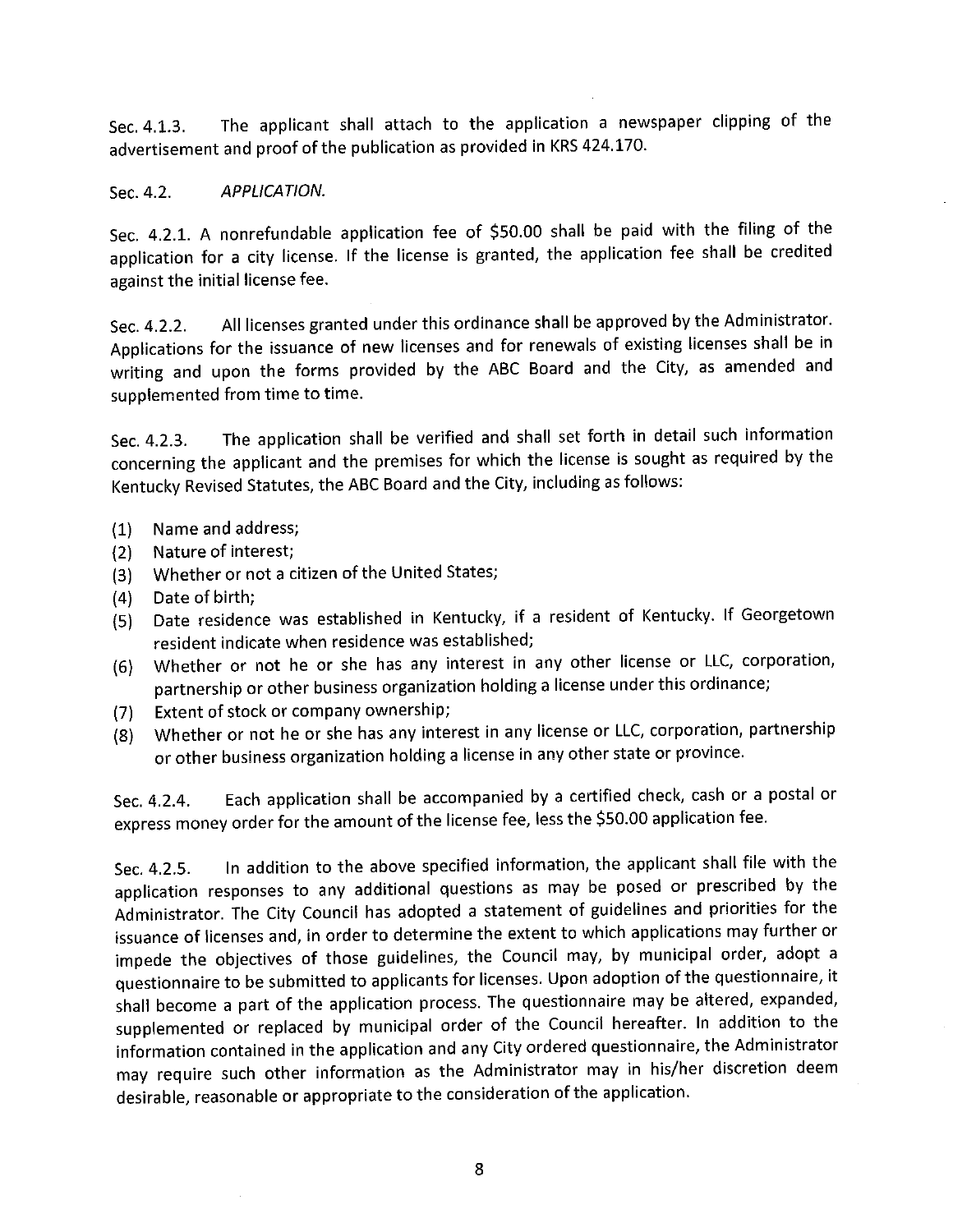The applicant shall attach to the application a newspaper clipping of the Sec. 4.1.3. advertisement and proof of the publication as provided in KRS 424.170.

#### APPLICATION. Sec. 4.2.

Sec. 4.2.1. A nonrefundable application fee of \$50.00 shall be paid with the filing of the application for a city license. If the license is granted, the application fee shall be credited against the initial license fee.

All licenses granted under this ordinance shall be approved by the Administrator. Sec. 4.2.2. Applications for the issuance of new licenses and for renewals of existing licenses shall be in writing and upon the forms provided by the ABC Board and the City, as amended and supplemented from time to time.

The application shall be verified and shall set forth in detail such information Sec. 4.2.3. concerning the applicant and the premises for which the license is sought as required by the Kentucky Revised Statutes, the ABC Board and the City, including as follows:

- Name and address;  $(1)$
- Nature of interest;  $(2)$
- Whether or not a citizen of the United States;  $(3)$
- Date of birth;  $(4)$
- Date residence was established in Kentucky, if a resident of Kentucky. If Georgetown  $(5)$ resident indicate when residence was established;
- Whether or not he or she has any interest in any other license or LLC, corporation,  $(6)$ partnership or other business organization holding a license under this ordinance;
- Extent of stock or company ownership;  $(7)$
- Whether or not he or she has any interest in any license or LLC, corporation, partnership  $(8)$ or other business organization holding a license in any other state or province.

Each application shall be accompanied by a certified check, cash or a postal or Sec. 4.2.4. express money order for the amount of the license fee, less the \$50.00 application fee.

In addition to the above specified information, the applicant shall file with the Sec. 4.2.5. application responses to any additional questions as may be posed or prescribed by the Administrator. The City Council has adopted a statement of guidelines and priorities for the issuance of licenses and, in order to determine the extent to which applications may further or impede the objectives of those guidelines, the Council may, by municipal order, adopt a questionnaire to be submitted to applicants for licenses. Upon adoption of the questionnaire, it shall become a part of the application process. The questionnaire may be altered, expanded, supplemented or replaced by municipal order of the Council hereafter. In addition to the information contained in the application and any City ordered questionnaire, the Administrator may require such other information as the Administrator may in his/her discretion deem desirable, reasonable or appropriate to the consideration of the application.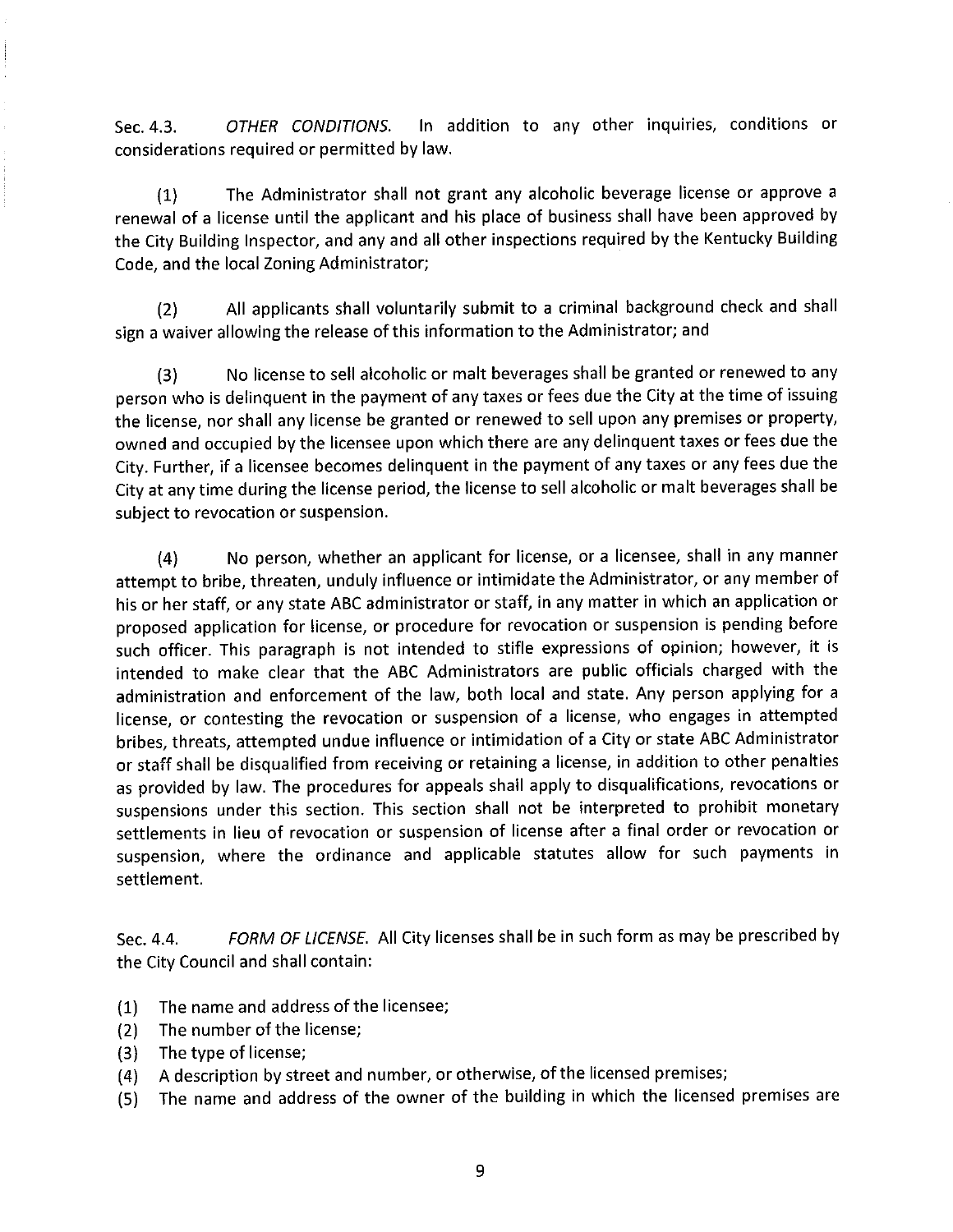In addition to any other inquiries, conditions or OTHER CONDITIONS. Sec. 4.3. considerations required or permitted by law.

The Administrator shall not grant any alcoholic beverage license or approve a  $(1)$ renewal of a license until the applicant and his place of business shall have been approved by the City Building Inspector, and any and all other inspections required by the Kentucky Building Code, and the local Zoning Administrator;

All applicants shall voluntarily submit to a criminal background check and shall  $(2)$ sign a waiver allowing the release of this information to the Administrator; and

No license to sell alcoholic or malt beverages shall be granted or renewed to any  $(3)$ person who is delinguent in the payment of any taxes or fees due the City at the time of issuing the license, nor shall any license be granted or renewed to sell upon any premises or property, owned and occupied by the licensee upon which there are any delinquent taxes or fees due the City. Further, if a licensee becomes delinguent in the payment of any taxes or any fees due the City at any time during the license period, the license to sell alcoholic or malt beverages shall be subject to revocation or suspension.

No person, whether an applicant for license, or a licensee, shall in any manner  $(4)$ attempt to bribe, threaten, unduly influence or intimidate the Administrator, or any member of his or her staff, or any state ABC administrator or staff, in any matter in which an application or proposed application for license, or procedure for revocation or suspension is pending before such officer. This paragraph is not intended to stifle expressions of opinion; however, it is intended to make clear that the ABC Administrators are public officials charged with the administration and enforcement of the law, both local and state. Any person applying for a license, or contesting the revocation or suspension of a license, who engages in attempted bribes, threats, attempted undue influence or intimidation of a City or state ABC Administrator or staff shall be disqualified from receiving or retaining a license, in addition to other penalties as provided by law. The procedures for appeals shall apply to disqualifications, revocations or suspensions under this section. This section shall not be interpreted to prohibit monetary settlements in lieu of revocation or suspension of license after a final order or revocation or suspension, where the ordinance and applicable statutes allow for such payments in settlement.

FORM OF LICENSE. All City licenses shall be in such form as may be prescribed by Sec. 4.4. the City Council and shall contain:

- The name and address of the licensee;  $(1)$
- The number of the license;  $(2)$
- The type of license;  $(3)$
- A description by street and number, or otherwise, of the licensed premises;  $(4)$
- The name and address of the owner of the building in which the licensed premises are  $(5)$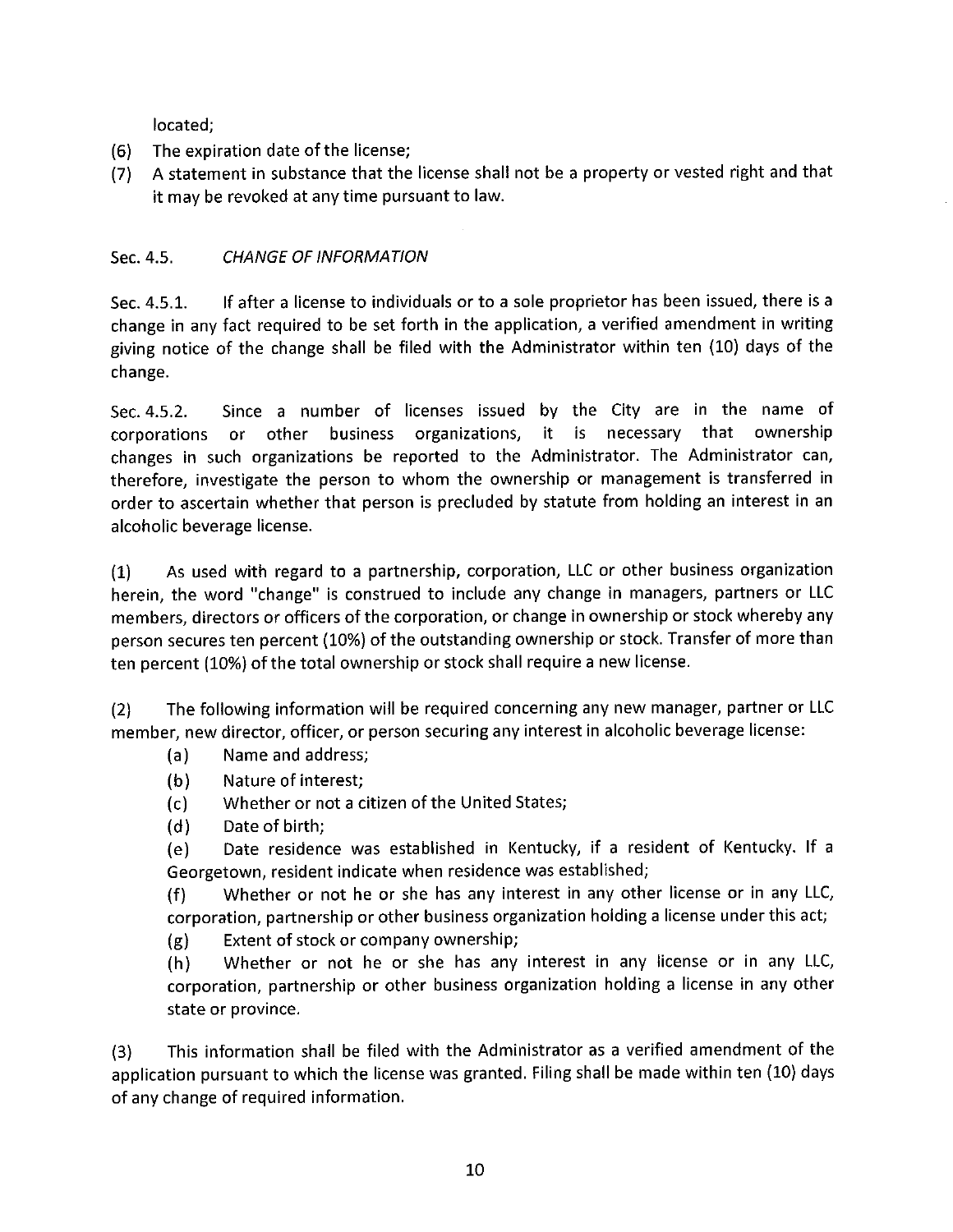located:

- The expiration date of the license;  $(6)$
- A statement in substance that the license shall not be a property or vested right and that  $(7)$ it may be revoked at any time pursuant to law.

#### **CHANGE OF INFORMATION** Sec. 4.5.

If after a license to individuals or to a sole proprietor has been issued, there is a Sec. 4.5.1. change in any fact required to be set forth in the application, a verified amendment in writing giving notice of the change shall be filed with the Administrator within ten (10) days of the change.

Since a number of licenses issued by the City are in the name of Sec. 4.5.2. it is necessary that ownership corporations or other business organizations, changes in such organizations be reported to the Administrator. The Administrator can, therefore, investigate the person to whom the ownership or management is transferred in order to ascertain whether that person is precluded by statute from holding an interest in an alcoholic beverage license.

As used with regard to a partnership, corporation, LLC or other business organization  $(1)$ herein, the word "change" is construed to include any change in managers, partners or LLC members, directors or officers of the corporation, or change in ownership or stock whereby any person secures ten percent (10%) of the outstanding ownership or stock. Transfer of more than ten percent (10%) of the total ownership or stock shall require a new license.

The following information will be required concerning any new manager, partner or LLC  $(2)$ member, new director, officer, or person securing any interest in alcoholic beverage license:

- Name and address;  $(a)$
- $(b)$ Nature of interest:
- Whether or not a citizen of the United States;  $(c)$
- $(d)$ Date of birth:

Date residence was established in Kentucky, if a resident of Kentucky. If a  $(e)$ Georgetown, resident indicate when residence was established;

Whether or not he or she has any interest in any other license or in any LLC,  $(f)$ corporation, partnership or other business organization holding a license under this act;

Extent of stock or company ownership;  $(g)$ 

Whether or not he or she has any interest in any license or in any LLC,  $(h)$ corporation, partnership or other business organization holding a license in any other state or province.

This information shall be filed with the Administrator as a verified amendment of the  $(3)$ application pursuant to which the license was granted. Filing shall be made within ten (10) days of any change of required information.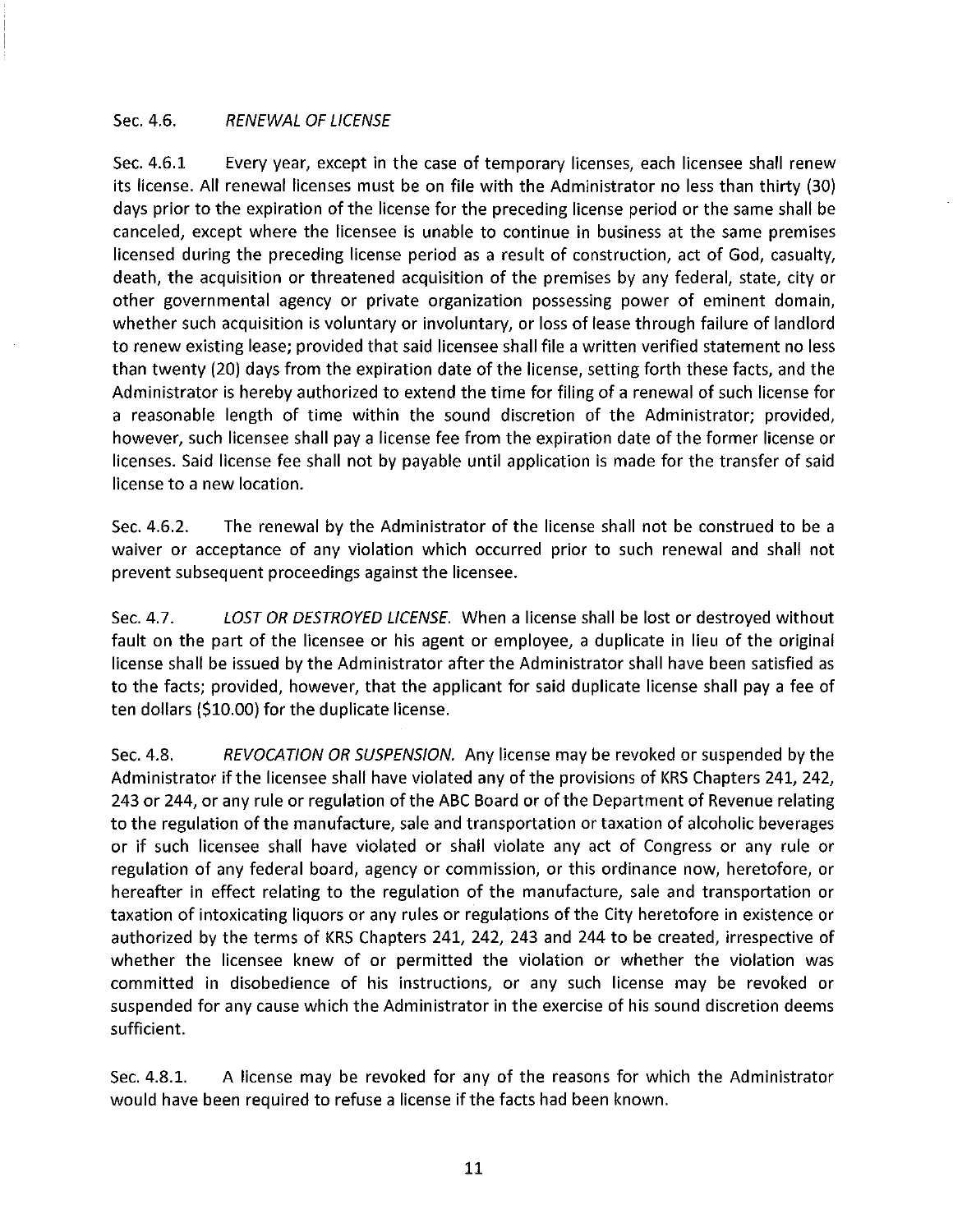#### Sec. 4.6. **RENEWAL OF LICENSE**

Sec. 4.6.1 Every year, except in the case of temporary licenses, each licensee shall renew its license. All renewal licenses must be on file with the Administrator no less than thirty (30) days prior to the expiration of the license for the preceding license period or the same shall be canceled, except where the licensee is unable to continue in business at the same premises licensed during the preceding license period as a result of construction, act of God, casualty, death, the acquisition or threatened acquisition of the premises by any federal, state, city or other governmental agency or private organization possessing power of eminent domain, whether such acquisition is voluntary or involuntary, or loss of lease through failure of landlord to renew existing lease; provided that said licensee shall file a written verified statement no less than twenty (20) days from the expiration date of the license, setting forth these facts, and the Administrator is hereby authorized to extend the time for filing of a renewal of such license for a reasonable length of time within the sound discretion of the Administrator; provided, however, such licensee shall pay a license fee from the expiration date of the former license or licenses. Said license fee shall not by payable until application is made for the transfer of said license to a new location.

Sec. 4.6.2. The renewal by the Administrator of the license shall not be construed to be a waiver or acceptance of any violation which occurred prior to such renewal and shall not prevent subsequent proceedings against the licensee.

LOST OR DESTROYED LICENSE. When a license shall be lost or destroyed without Sec. 4.7. fault on the part of the licensee or his agent or employee, a duplicate in lieu of the original license shall be issued by the Administrator after the Administrator shall have been satisfied as to the facts; provided, however, that the applicant for said duplicate license shall pay a fee of ten dollars (\$10.00) for the duplicate license.

REVOCATION OR SUSPENSION. Any license may be revoked or suspended by the Sec. 4.8. Administrator if the licensee shall have violated any of the provisions of KRS Chapters 241, 242, 243 or 244, or any rule or regulation of the ABC Board or of the Department of Revenue relating to the regulation of the manufacture, sale and transportation or taxation of alcoholic beverages or if such licensee shall have violated or shall violate any act of Congress or any rule or regulation of any federal board, agency or commission, or this ordinance now, heretofore, or hereafter in effect relating to the regulation of the manufacture, sale and transportation or taxation of intoxicating liquors or any rules or regulations of the City heretofore in existence or authorized by the terms of KRS Chapters 241, 242, 243 and 244 to be created, irrespective of whether the licensee knew of or permitted the violation or whether the violation was committed in disobedience of his instructions, or any such license may be revoked or suspended for any cause which the Administrator in the exercise of his sound discretion deems sufficient.

A license may be revoked for any of the reasons for which the Administrator Sec. 4.8.1. would have been required to refuse a license if the facts had been known.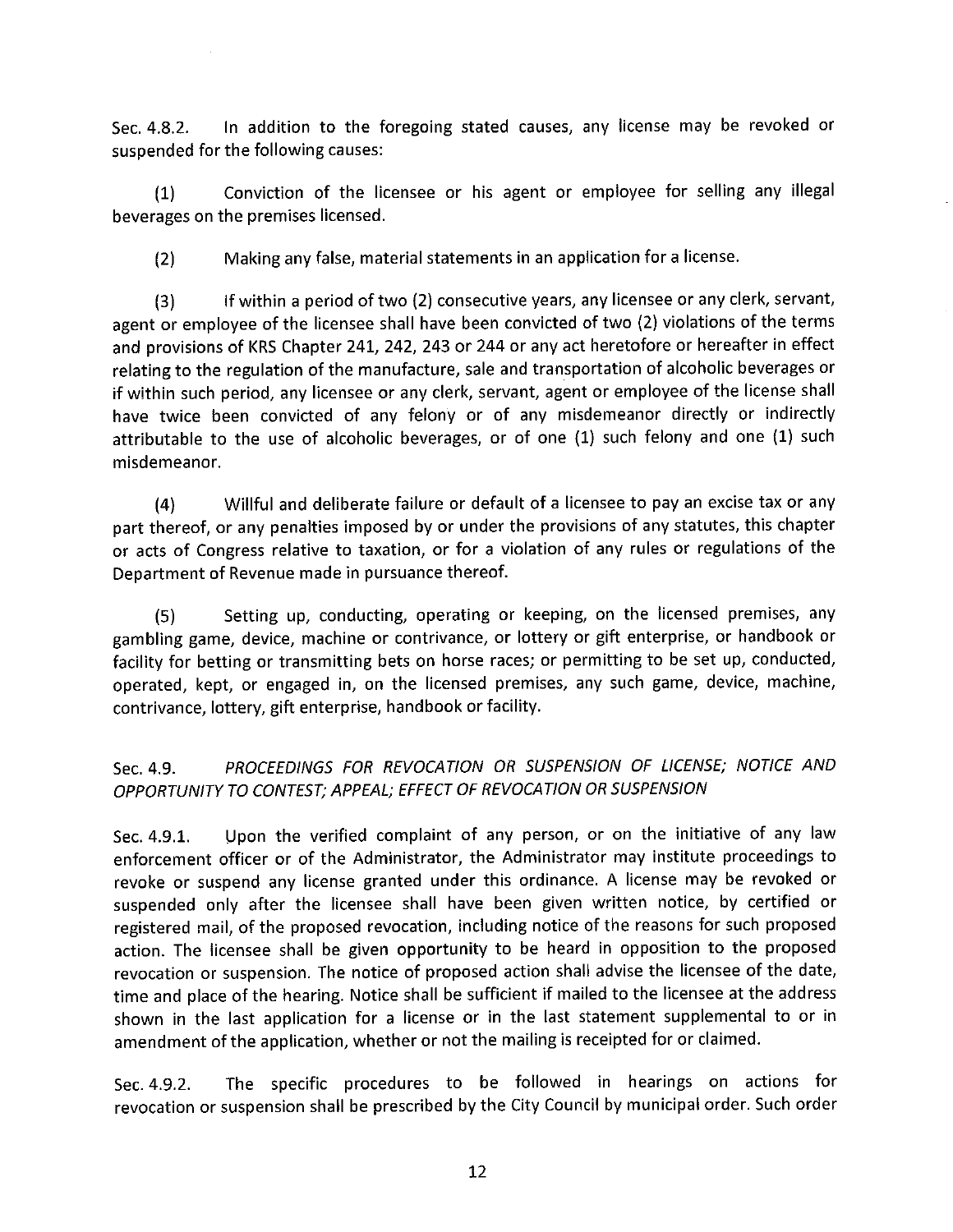In addition to the foregoing stated causes, any license may be revoked or Sec. 4.8.2. suspended for the following causes:

Conviction of the licensee or his agent or employee for selling any illegal  $(1)$ beverages on the premises licensed.

Making any false, material statements in an application for a license.  $(2)$ 

If within a period of two (2) consecutive years, any licensee or any clerk, servant,  $(3)$ agent or employee of the licensee shall have been convicted of two (2) violations of the terms and provisions of KRS Chapter 241, 242, 243 or 244 or any act heretofore or hereafter in effect relating to the regulation of the manufacture, sale and transportation of alcoholic beverages or if within such period, any licensee or any clerk, servant, agent or employee of the license shall have twice been convicted of any felony or of any misdemeanor directly or indirectly attributable to the use of alcoholic beverages, or of one (1) such felony and one (1) such misdemeanor.

Willful and deliberate failure or default of a licensee to pay an excise tax or any  $(4)$ part thereof, or any penalties imposed by or under the provisions of any statutes, this chapter or acts of Congress relative to taxation, or for a violation of any rules or regulations of the Department of Revenue made in pursuance thereof.

Setting up, conducting, operating or keeping, on the licensed premises, any  $(5)$ gambling game, device, machine or contrivance, or lottery or gift enterprise, or handbook or facility for betting or transmitting bets on horse races; or permitting to be set up, conducted, operated, kept, or engaged in, on the licensed premises, any such game, device, machine, contrivance, lottery, gift enterprise, handbook or facility.

PROCEEDINGS FOR REVOCATION OR SUSPENSION OF LICENSE; NOTICE AND Sec. 4.9. OPPORTUNITY TO CONTEST; APPEAL; EFFECT OF REVOCATION OR SUSPENSION

Upon the verified complaint of any person, or on the initiative of any law Sec. 4.9.1. enforcement officer or of the Administrator, the Administrator may institute proceedings to revoke or suspend any license granted under this ordinance. A license may be revoked or suspended only after the licensee shall have been given written notice, by certified or registered mail, of the proposed revocation, including notice of the reasons for such proposed action. The licensee shall be given opportunity to be heard in opposition to the proposed revocation or suspension. The notice of proposed action shall advise the licensee of the date, time and place of the hearing. Notice shall be sufficient if mailed to the licensee at the address shown in the last application for a license or in the last statement supplemental to or in amendment of the application, whether or not the mailing is receipted for or claimed.

The specific procedures to be followed in hearings on actions for Sec. 4.9.2. revocation or suspension shall be prescribed by the City Council by municipal order. Such order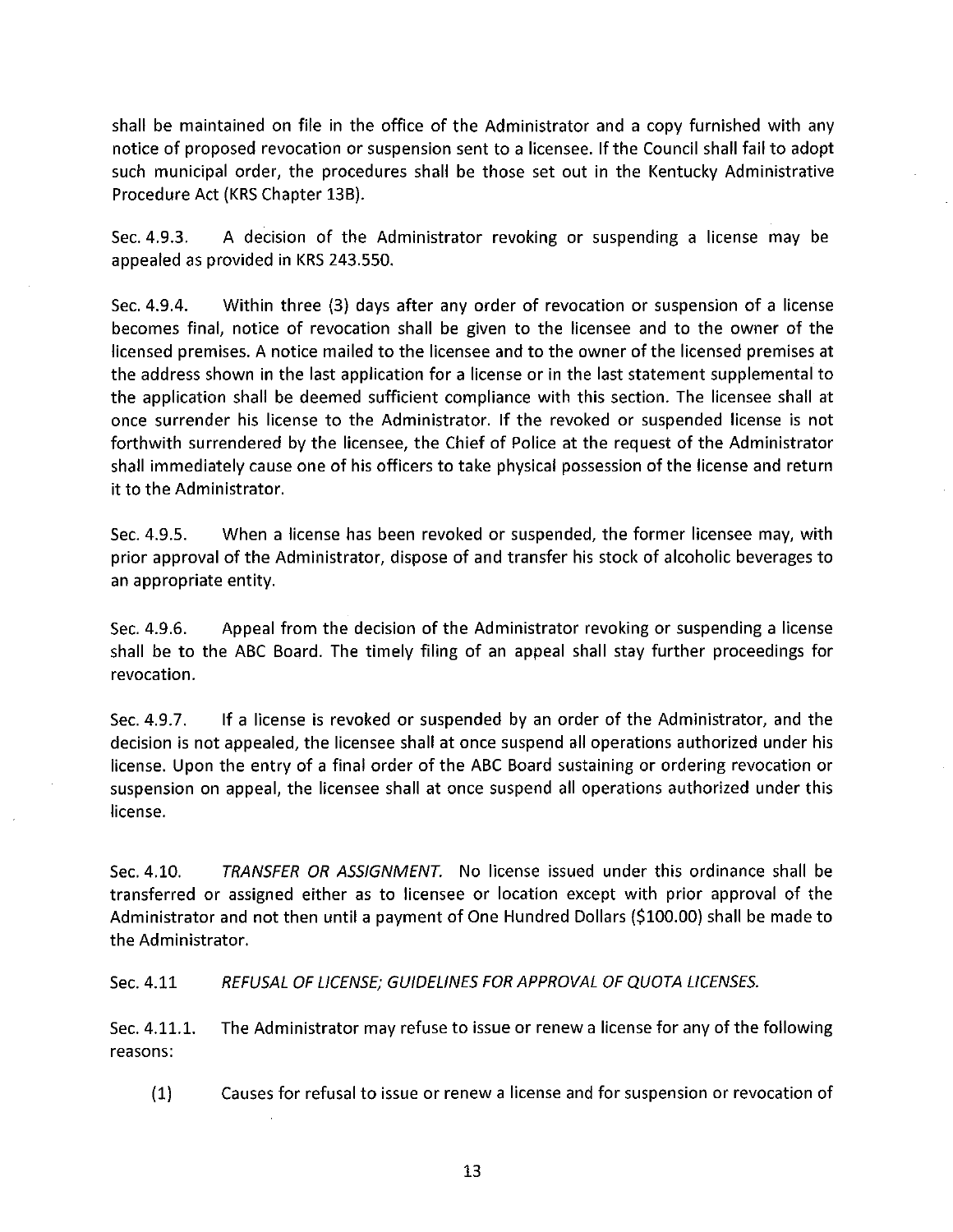shall be maintained on file in the office of the Administrator and a copy furnished with any notice of proposed revocation or suspension sent to a licensee. If the Council shall fail to adopt such municipal order, the procedures shall be those set out in the Kentucky Administrative Procedure Act (KRS Chapter 13B).

Sec. 4.9.3. A decision of the Administrator revoking or suspending a license may be appealed as provided in KRS 243.550.

Within three (3) days after any order of revocation or suspension of a license Sec. 4.9.4. becomes final, notice of revocation shall be given to the licensee and to the owner of the licensed premises. A notice mailed to the licensee and to the owner of the licensed premises at the address shown in the last application for a license or in the last statement supplemental to the application shall be deemed sufficient compliance with this section. The licensee shall at once surrender his license to the Administrator. If the revoked or suspended license is not forthwith surrendered by the licensee, the Chief of Police at the request of the Administrator shall immediately cause one of his officers to take physical possession of the license and return it to the Administrator.

Sec. 4.9.5. When a license has been revoked or suspended, the former licensee may, with prior approval of the Administrator, dispose of and transfer his stock of alcoholic beverages to an appropriate entity.

Appeal from the decision of the Administrator revoking or suspending a license Sec. 4.9.6. shall be to the ABC Board. The timely filing of an appeal shall stay further proceedings for revocation.

Sec. 4.9.7. If a license is revoked or suspended by an order of the Administrator, and the decision is not appealed, the licensee shall at once suspend all operations authorized under his license. Upon the entry of a final order of the ABC Board sustaining or ordering revocation or suspension on appeal, the licensee shall at once suspend all operations authorized under this license.

Sec. 4.10. TRANSFER OR ASSIGNMENT. No license issued under this ordinance shall be transferred or assigned either as to licensee or location except with prior approval of the Administrator and not then until a payment of One Hundred Dollars (\$100.00) shall be made to the Administrator.

Sec. 4.11 REFUSAL OF LICENSE; GUIDELINES FOR APPROVAL OF QUOTA LICENSES.

The Administrator may refuse to issue or renew a license for any of the following Sec. 4.11.1. reasons:

 $(1)$ Causes for refusal to issue or renew a license and for suspension or revocation of

13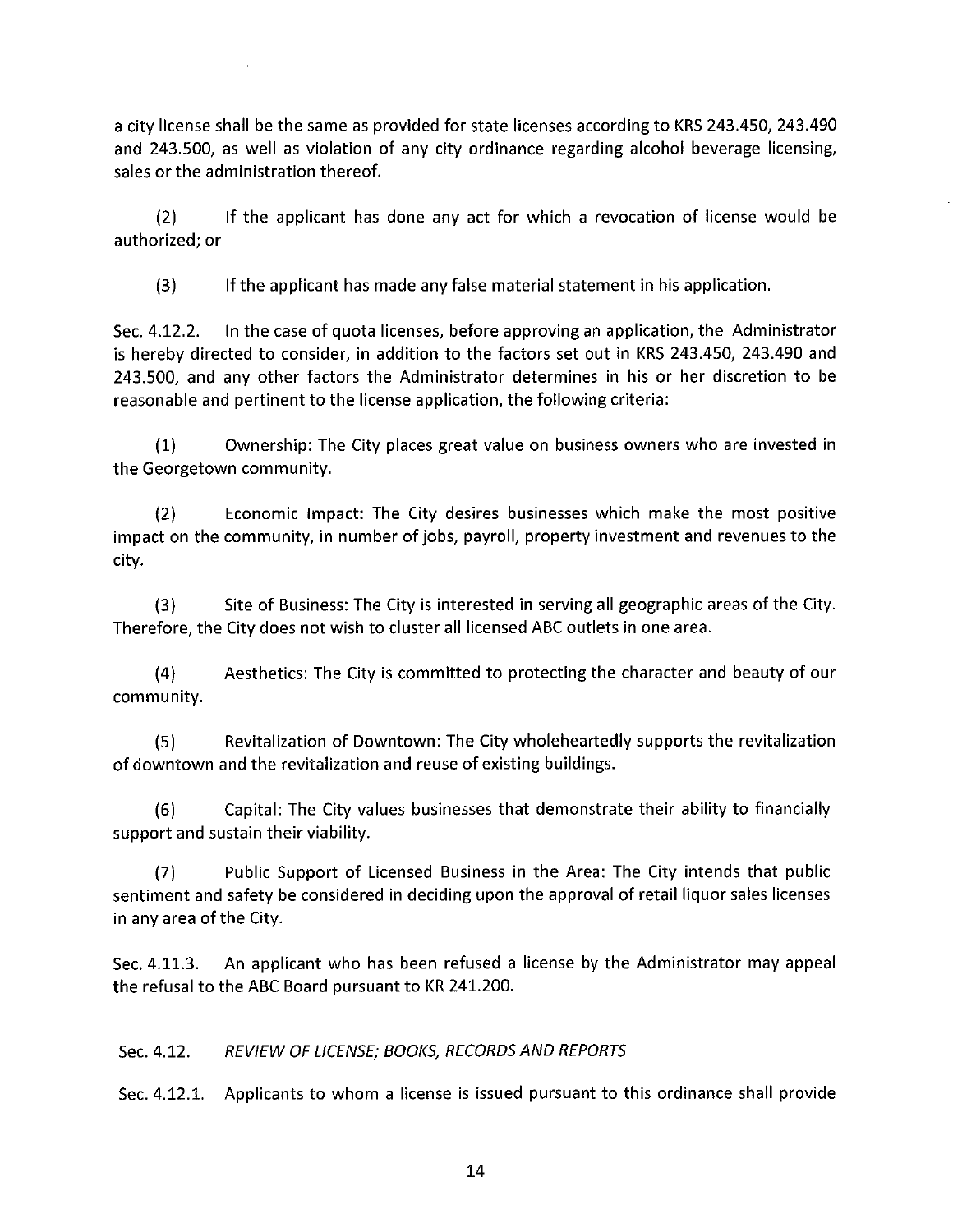a city license shall be the same as provided for state licenses according to KRS 243.450, 243.490 and 243.500, as well as violation of any city ordinance regarding alcohol beverage licensing, sales or the administration thereof.

If the applicant has done any act for which a revocation of license would be  $(2)$ authorized; or

If the applicant has made any false material statement in his application.  $(3)$ 

In the case of quota licenses, before approving an application, the Administrator Sec. 4.12.2. is hereby directed to consider, in addition to the factors set out in KRS 243.450, 243.490 and 243.500, and any other factors the Administrator determines in his or her discretion to be reasonable and pertinent to the license application, the following criteria:

Ownership: The City places great value on business owners who are invested in  $(1)$ the Georgetown community.

 $(2)$ Economic Impact: The City desires businesses which make the most positive impact on the community, in number of jobs, payroll, property investment and revenues to the city.

 $(3)$ Site of Business: The City is interested in serving all geographic areas of the City. Therefore, the City does not wish to cluster all licensed ABC outlets in one area.

Aesthetics: The City is committed to protecting the character and beauty of our  $(4)$ community.

 $(5)$ Revitalization of Downtown: The City wholeheartedly supports the revitalization of downtown and the revitalization and reuse of existing buildings.

Capital: The City values businesses that demonstrate their ability to financially  $(6)$ support and sustain their viability.

Public Support of Licensed Business in the Area: The City intends that public  $(7)$ sentiment and safety be considered in deciding upon the approval of retail liquor sales licenses in any area of the City.

An applicant who has been refused a license by the Administrator may appeal Sec. 4.11.3. the refusal to the ABC Board pursuant to KR 241.200.

#### REVIEW OF LICENSE; BOOKS, RECORDS AND REPORTS Sec. 4.12.

Sec. 4.12.1. Applicants to whom a license is issued pursuant to this ordinance shall provide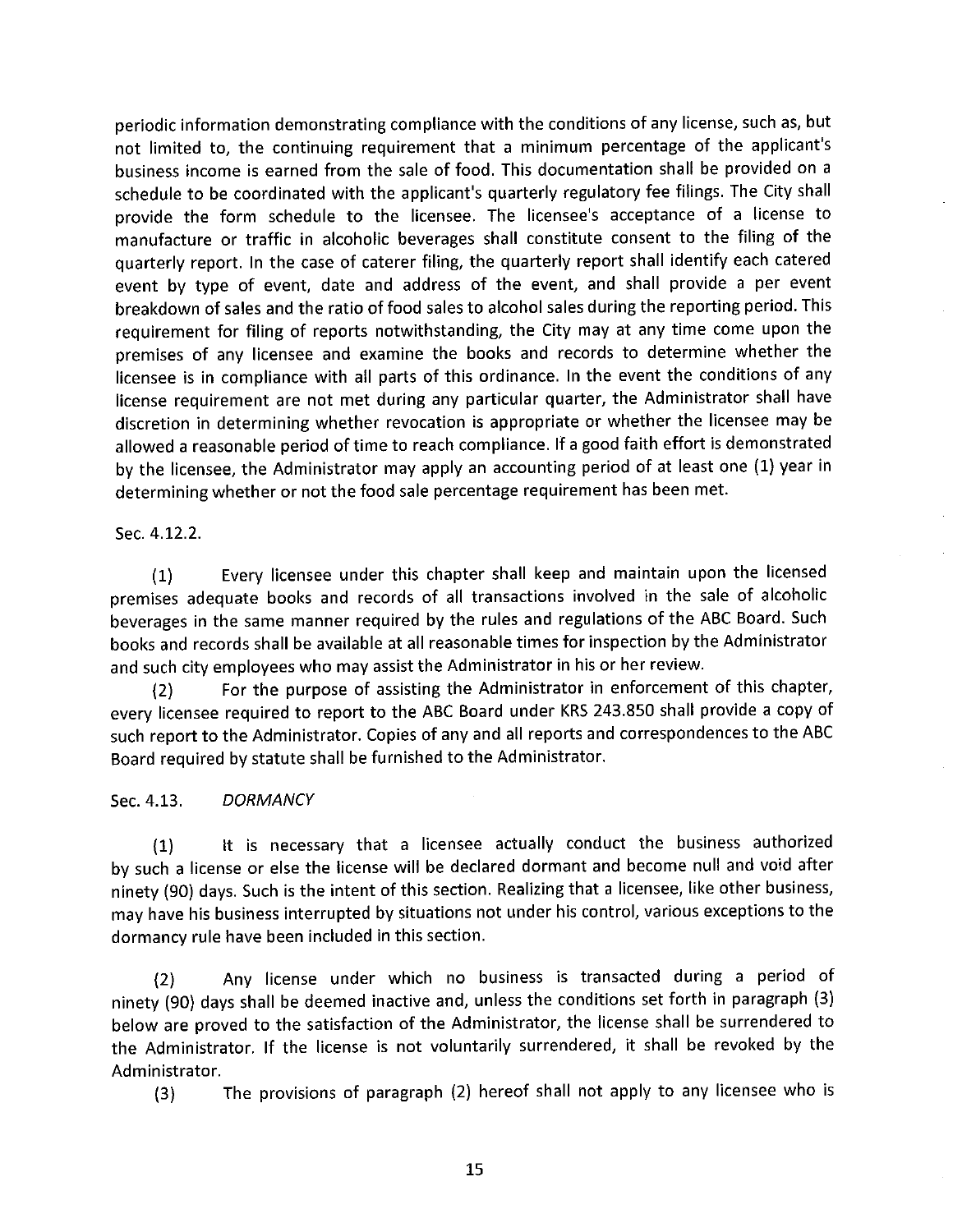periodic information demonstrating compliance with the conditions of any license, such as, but not limited to, the continuing requirement that a minimum percentage of the applicant's business income is earned from the sale of food. This documentation shall be provided on a schedule to be coordinated with the applicant's quarterly regulatory fee filings. The City shall provide the form schedule to the licensee. The licensee's acceptance of a license to manufacture or traffic in alcoholic beverages shall constitute consent to the filing of the quarterly report. In the case of caterer filing, the quarterly report shall identify each catered event by type of event, date and address of the event, and shall provide a per event breakdown of sales and the ratio of food sales to alcohol sales during the reporting period. This requirement for filing of reports notwithstanding, the City may at any time come upon the premises of any licensee and examine the books and records to determine whether the licensee is in compliance with all parts of this ordinance. In the event the conditions of any license requirement are not met during any particular quarter, the Administrator shall have discretion in determining whether revocation is appropriate or whether the licensee may be allowed a reasonable period of time to reach compliance. If a good faith effort is demonstrated by the licensee, the Administrator may apply an accounting period of at least one (1) year in determining whether or not the food sale percentage requirement has been met.

Sec. 4.12.2.

Every licensee under this chapter shall keep and maintain upon the licensed  $(1)$ premises adequate books and records of all transactions involved in the sale of alcoholic beverages in the same manner required by the rules and regulations of the ABC Board. Such books and records shall be available at all reasonable times for inspection by the Administrator and such city employees who may assist the Administrator in his or her review.

For the purpose of assisting the Administrator in enforcement of this chapter,  $(2)$ every licensee required to report to the ABC Board under KRS 243.850 shall provide a copy of such report to the Administrator. Copies of any and all reports and correspondences to the ABC Board required by statute shall be furnished to the Administrator.

Sec. 4.13. **DORMANCY** 

It is necessary that a licensee actually conduct the business authorized  $(1)$ by such a license or else the license will be declared dormant and become null and void after ninety (90) days. Such is the intent of this section. Realizing that a licensee, like other business, may have his business interrupted by situations not under his control, various exceptions to the dormancy rule have been included in this section.

Any license under which no business is transacted during a period of  $(2)$ ninety (90) days shall be deemed inactive and, unless the conditions set forth in paragraph (3) below are proved to the satisfaction of the Administrator, the license shall be surrendered to the Administrator. If the license is not voluntarily surrendered, it shall be revoked by the Administrator.

The provisions of paragraph (2) hereof shall not apply to any licensee who is  $(3)$ 

15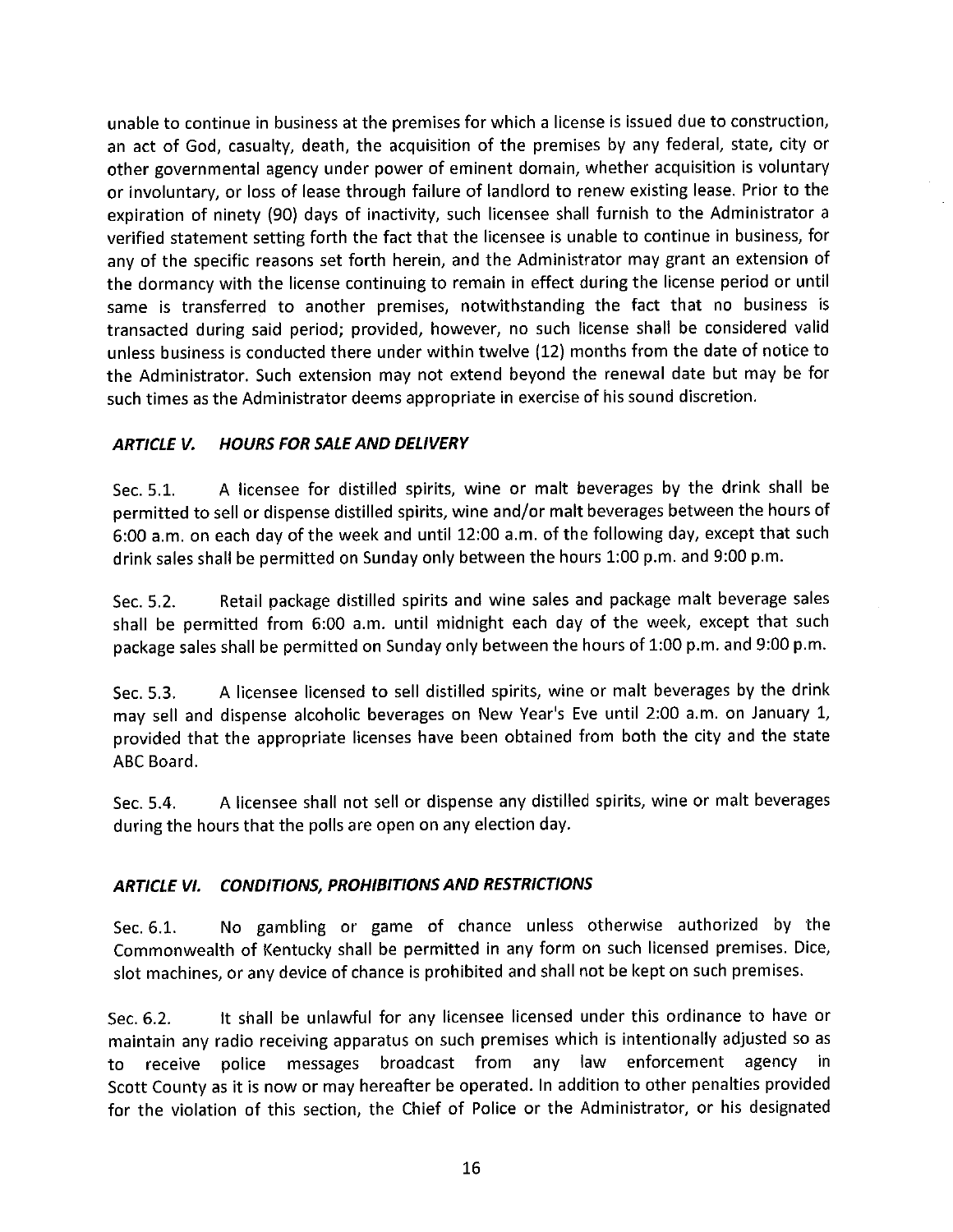unable to continue in business at the premises for which a license is issued due to construction, an act of God, casualty, death, the acquisition of the premises by any federal, state, city or other governmental agency under power of eminent domain, whether acquisition is voluntary or involuntary, or loss of lease through failure of landlord to renew existing lease. Prior to the expiration of ninety (90) days of inactivity, such licensee shall furnish to the Administrator a verified statement setting forth the fact that the licensee is unable to continue in business, for any of the specific reasons set forth herein, and the Administrator may grant an extension of the dormancy with the license continuing to remain in effect during the license period or until same is transferred to another premises, notwithstanding the fact that no business is transacted during said period; provided, however, no such license shall be considered valid unless business is conducted there under within twelve (12) months from the date of notice to the Administrator. Such extension may not extend beyond the renewal date but may be for such times as the Administrator deems appropriate in exercise of his sound discretion.

#### **ARTICLE V. HOURS FOR SALE AND DELIVERY**

A licensee for distilled spirits, wine or malt beverages by the drink shall be Sec. 5.1. permitted to sell or dispense distilled spirits, wine and/or malt beverages between the hours of 6:00 a.m. on each day of the week and until 12:00 a.m. of the following day, except that such drink sales shall be permitted on Sunday only between the hours 1:00 p.m. and 9:00 p.m.

Retail package distilled spirits and wine sales and package malt beverage sales Sec. 5.2. shall be permitted from 6:00 a.m. until midnight each day of the week, except that such package sales shall be permitted on Sunday only between the hours of 1:00 p.m. and 9:00 p.m.

A licensee licensed to sell distilled spirits, wine or malt beverages by the drink Sec. 5.3. may sell and dispense alcoholic beverages on New Year's Eve until 2:00 a.m. on January 1, provided that the appropriate licenses have been obtained from both the city and the state ABC Board.

A licensee shall not sell or dispense any distilled spirits, wine or malt beverages Sec. 5.4. during the hours that the polls are open on any election day.

### ARTICLE VI. CONDITIONS, PROHIBITIONS AND RESTRICTIONS

No gambling or game of chance unless otherwise authorized by the Sec. 6.1. Commonwealth of Kentucky shall be permitted in any form on such licensed premises. Dice, slot machines, or any device of chance is prohibited and shall not be kept on such premises.

It shall be unlawful for any licensee licensed under this ordinance to have or Sec. 6.2. maintain any radio receiving apparatus on such premises which is intentionally adjusted so as to receive police messages broadcast from any law enforcement agency in Scott County as it is now or may hereafter be operated. In addition to other penalties provided for the violation of this section, the Chief of Police or the Administrator, or his designated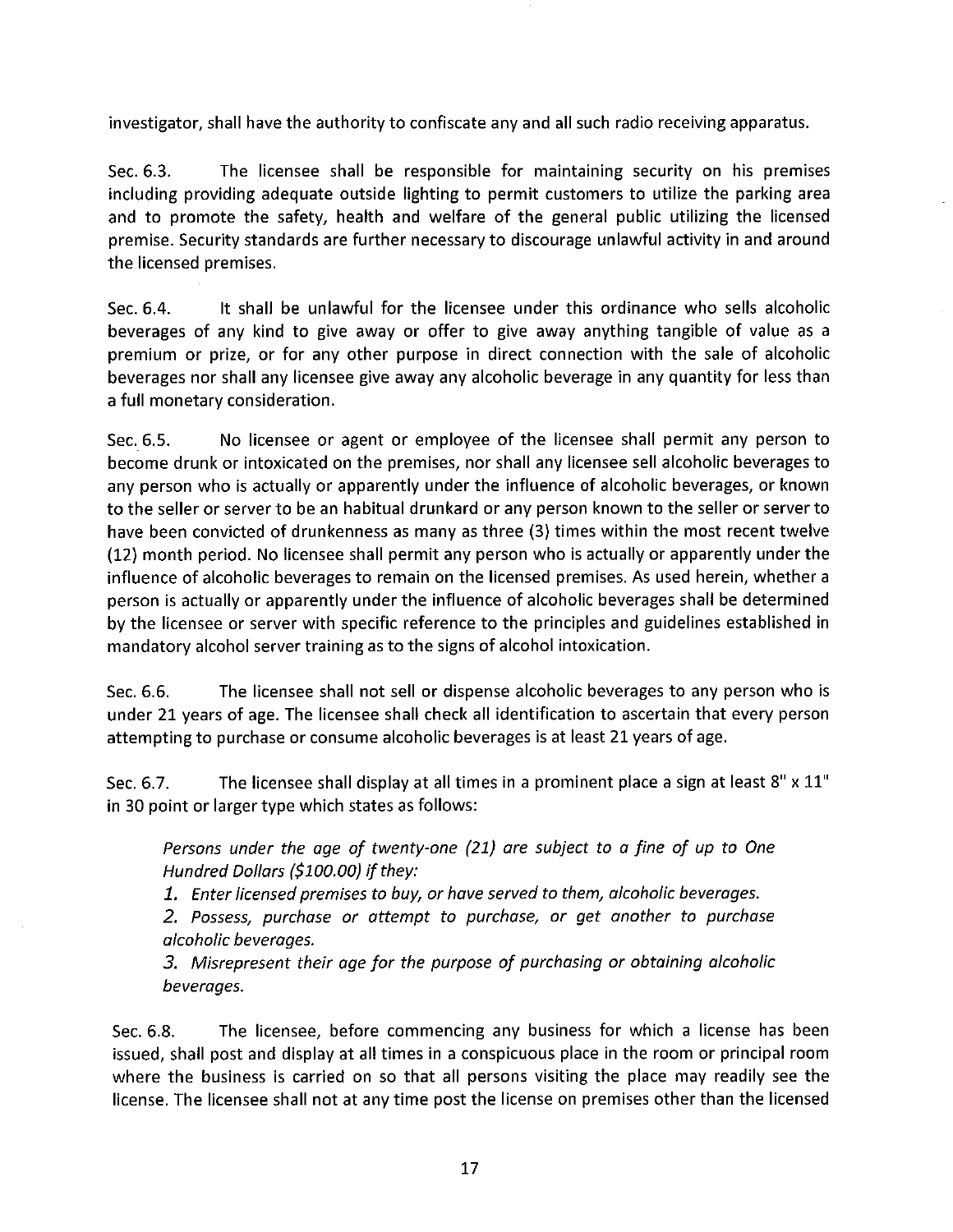investigator, shall have the authority to confiscate any and all such radio receiving apparatus.

Sec. 6.3. The licensee shall be responsible for maintaining security on his premises including providing adequate outside lighting to permit customers to utilize the parking area and to promote the safety, health and welfare of the general public utilizing the licensed premise. Security standards are further necessary to discourage unlawful activity in and around the licensed premises.

It shall be unlawful for the licensee under this ordinance who sells alcoholic Sec. 6.4. beverages of any kind to give away or offer to give away anything tangible of value as a premium or prize, or for any other purpose in direct connection with the sale of alcoholic beverages nor shall any licensee give away any alcoholic beverage in any quantity for less than a full monetary consideration.

No licensee or agent or employee of the licensee shall permit any person to Sec. 6.5. become drunk or intoxicated on the premises, nor shall any licensee sell alcoholic beverages to any person who is actually or apparently under the influence of alcoholic beverages, or known to the seller or server to be an habitual drunkard or any person known to the seller or server to have been convicted of drunkenness as many as three (3) times within the most recent twelve (12) month period. No licensee shall permit any person who is actually or apparently under the influence of alcoholic beverages to remain on the licensed premises. As used herein, whether a person is actually or apparently under the influence of alcoholic beverages shall be determined by the licensee or server with specific reference to the principles and guidelines established in mandatory alcohol server training as to the signs of alcohol intoxication.

Sec. 6.6. The licensee shall not sell or dispense alcoholic beverages to any person who is under 21 years of age. The licensee shall check all identification to ascertain that every person attempting to purchase or consume alcoholic beverages is at least 21 years of age.

The licensee shall display at all times in a prominent place a sign at least 8" x 11" Sec. 6.7. in 30 point or larger type which states as follows:

Persons under the age of twenty-one (21) are subject to a fine of up to One Hundred Dollars (\$100.00) if they:

1. Enter licensed premises to buy, or have served to them, alcoholic beverages.

2. Possess, purchase or attempt to purchase, or get another to purchase alcoholic beverages.

3. Misrepresent their age for the purpose of purchasing or obtaining alcoholic beverages.

The licensee, before commencing any business for which a license has been Sec. 6.8. issued, shall post and display at all times in a conspicuous place in the room or principal room where the business is carried on so that all persons visiting the place may readily see the license. The licensee shall not at any time post the license on premises other than the licensed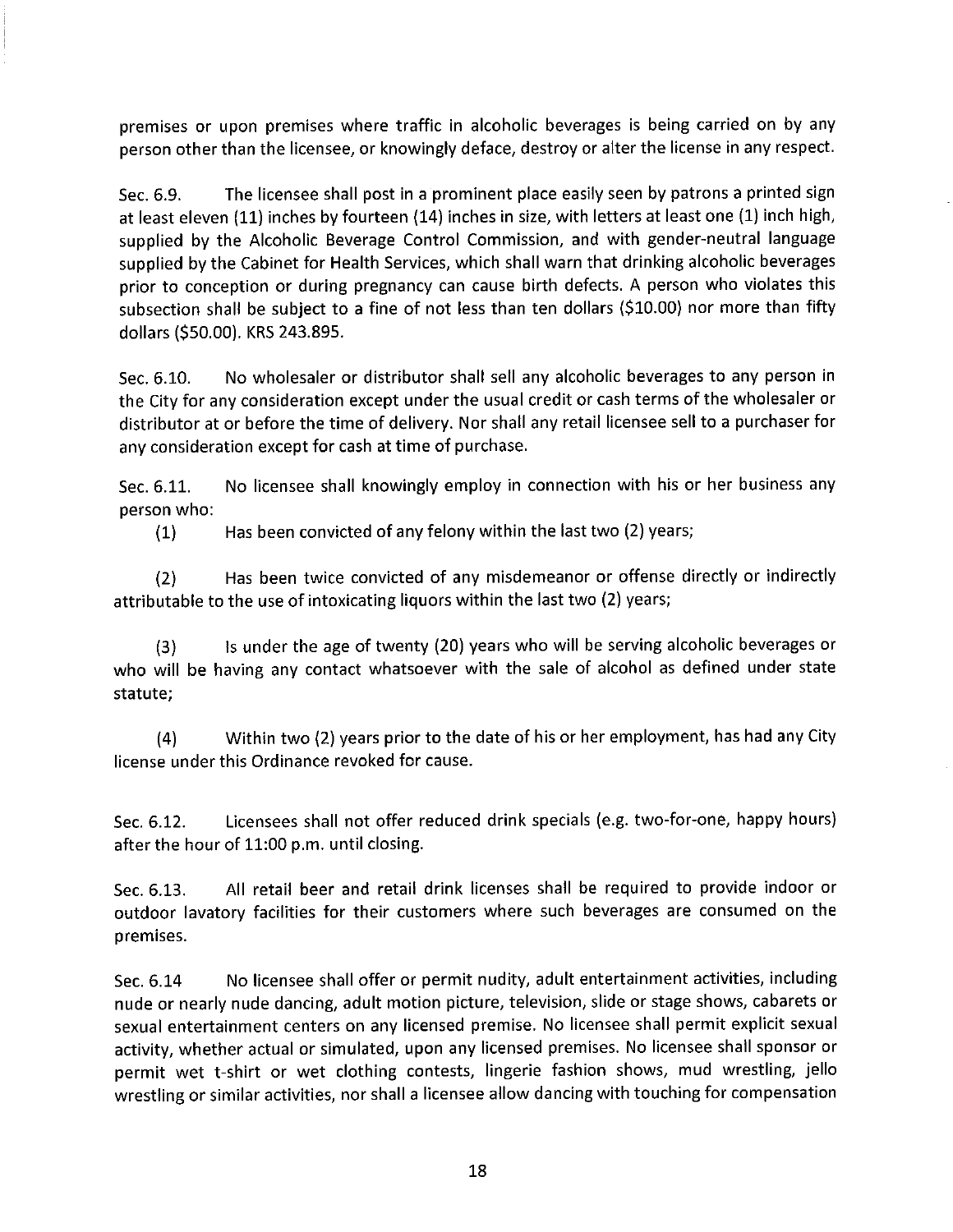premises or upon premises where traffic in alcoholic beverages is being carried on by any person other than the licensee, or knowingly deface, destroy or alter the license in any respect.

The licensee shall post in a prominent place easily seen by patrons a printed sign Sec. 6.9. at least eleven (11) inches by fourteen (14) inches in size, with letters at least one (1) inch high, supplied by the Alcoholic Beverage Control Commission, and with gender-neutral language supplied by the Cabinet for Health Services, which shall warn that drinking alcoholic beverages prior to conception or during pregnancy can cause birth defects. A person who violates this subsection shall be subject to a fine of not less than ten dollars (\$10.00) nor more than fifty dollars (\$50.00). KRS 243.895.

No wholesaler or distributor shall sell any alcoholic beverages to any person in Sec. 6.10. the City for any consideration except under the usual credit or cash terms of the wholesaler or distributor at or before the time of delivery. Nor shall any retail licensee sell to a purchaser for any consideration except for cash at time of purchase.

No licensee shall knowingly employ in connection with his or her business any Sec. 6.11. person who:

Has been convicted of any felony within the last two (2) years;  $(1)$ 

Has been twice convicted of any misdemeanor or offense directly or indirectly  $(2)$ attributable to the use of intoxicating liquors within the last two (2) years;

Is under the age of twenty (20) years who will be serving alcoholic beverages or  $(3)$ who will be having any contact whatsoever with the sale of alcohol as defined under state statute;

Within two (2) years prior to the date of his or her employment, has had any City  $(4)$ license under this Ordinance revoked for cause.

Licensees shall not offer reduced drink specials (e.g. two-for-one, happy hours) Sec. 6.12. after the hour of 11:00 p.m. until closing.

All retail beer and retail drink licenses shall be required to provide indoor or Sec. 6.13. outdoor lavatory facilities for their customers where such beverages are consumed on the premises.

No licensee shall offer or permit nudity, adult entertainment activities, including Sec. 6.14 nude or nearly nude dancing, adult motion picture, television, slide or stage shows, cabarets or sexual entertainment centers on any licensed premise. No licensee shall permit explicit sexual activity, whether actual or simulated, upon any licensed premises. No licensee shall sponsor or permit wet t-shirt or wet clothing contests, lingerie fashion shows, mud wrestling, jello wrestling or similar activities, nor shall a licensee allow dancing with touching for compensation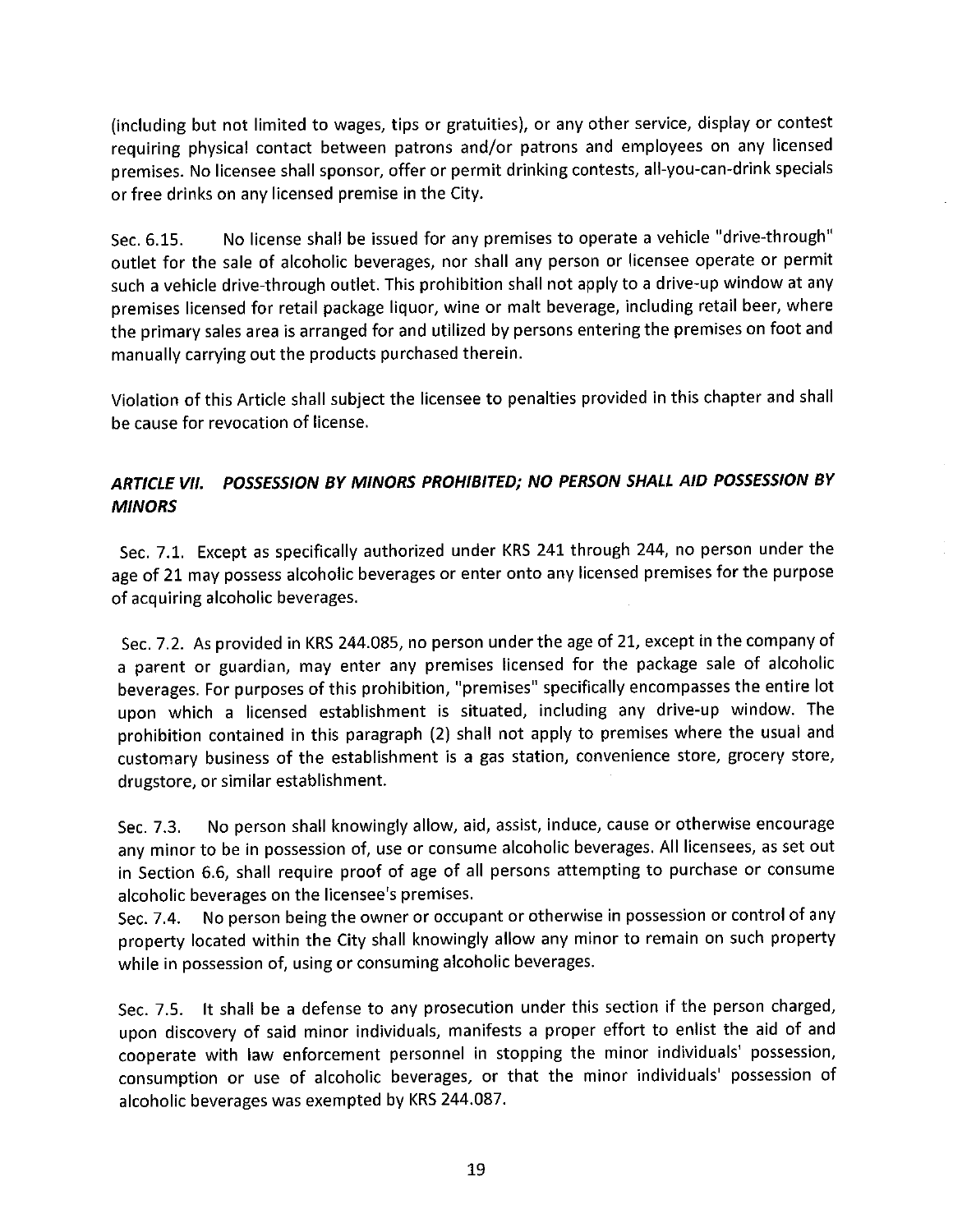(including but not limited to wages, tips or gratuities), or any other service, display or contest requiring physical contact between patrons and/or patrons and employees on any licensed premises. No licensee shall sponsor, offer or permit drinking contests, all-you-can-drink specials or free drinks on any licensed premise in the City.

No license shall be issued for any premises to operate a vehicle "drive-through" Sec. 6.15. outlet for the sale of alcoholic beverages, nor shall any person or licensee operate or permit such a vehicle drive-through outlet. This prohibition shall not apply to a drive-up window at any premises licensed for retail package liquor, wine or malt beverage, including retail beer, where the primary sales area is arranged for and utilized by persons entering the premises on foot and manually carrying out the products purchased therein.

Violation of this Article shall subject the licensee to penalties provided in this chapter and shall be cause for revocation of license.

# ARTICLE VII. POSSESSION BY MINORS PROHIBITED; NO PERSON SHALL AID POSSESSION BY **MINORS**

Sec. 7.1. Except as specifically authorized under KRS 241 through 244, no person under the age of 21 may possess alcoholic beverages or enter onto any licensed premises for the purpose of acquiring alcoholic beverages.

Sec. 7.2. As provided in KRS 244.085, no person under the age of 21, except in the company of a parent or guardian, may enter any premises licensed for the package sale of alcoholic beverages. For purposes of this prohibition, "premises" specifically encompasses the entire lot upon which a licensed establishment is situated, including any drive-up window. The prohibition contained in this paragraph (2) shall not apply to premises where the usual and customary business of the establishment is a gas station, convenience store, grocery store, drugstore, or similar establishment.

No person shall knowingly allow, aid, assist, induce, cause or otherwise encourage Sec. 7.3. any minor to be in possession of, use or consume alcoholic beverages. All licensees, as set out in Section 6.6, shall require proof of age of all persons attempting to purchase or consume alcoholic beverages on the licensee's premises.

No person being the owner or occupant or otherwise in possession or control of any Sec. 7.4. property located within the City shall knowingly allow any minor to remain on such property while in possession of, using or consuming alcoholic beverages.

Sec. 7.5. It shall be a defense to any prosecution under this section if the person charged, upon discovery of said minor individuals, manifests a proper effort to enlist the aid of and cooperate with law enforcement personnel in stopping the minor individuals' possession, consumption or use of alcoholic beverages, or that the minor individuals' possession of alcoholic beverages was exempted by KRS 244.087.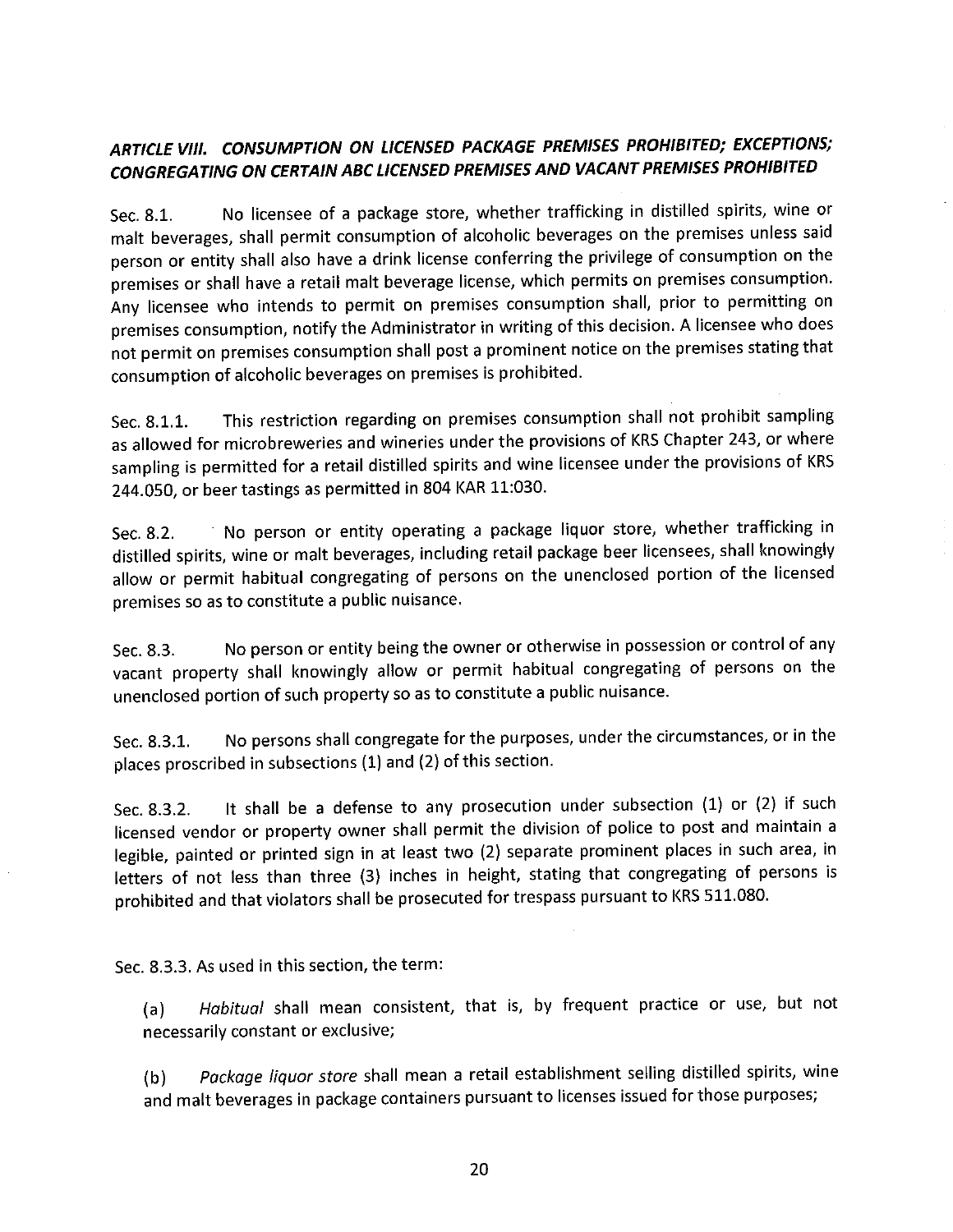# ARTICLE VIII. CONSUMPTION ON LICENSED PACKAGE PREMISES PROHIBITED; EXCEPTIONS; CONGREGATING ON CERTAIN ABC LICENSED PREMISES AND VACANT PREMISES PROHIBITED

No licensee of a package store, whether trafficking in distilled spirits, wine or Sec. 8.1. malt beverages, shall permit consumption of alcoholic beverages on the premises unless said person or entity shall also have a drink license conferring the privilege of consumption on the premises or shall have a retail malt beverage license, which permits on premises consumption. Any licensee who intends to permit on premises consumption shall, prior to permitting on premises consumption, notify the Administrator in writing of this decision. A licensee who does not permit on premises consumption shall post a prominent notice on the premises stating that consumption of alcoholic beverages on premises is prohibited.

This restriction regarding on premises consumption shall not prohibit sampling Sec. 8.1.1. as allowed for microbreweries and wineries under the provisions of KRS Chapter 243, or where sampling is permitted for a retail distilled spirits and wine licensee under the provisions of KRS 244.050, or beer tastings as permitted in 804 KAR 11:030.

No person or entity operating a package liquor store, whether trafficking in Sec. 8.2. distilled spirits, wine or malt beverages, including retail package beer licensees, shall knowingly allow or permit habitual congregating of persons on the unenclosed portion of the licensed premises so as to constitute a public nuisance.

No person or entity being the owner or otherwise in possession or control of any Sec. 8.3. vacant property shall knowingly allow or permit habitual congregating of persons on the unenclosed portion of such property so as to constitute a public nuisance.

No persons shall congregate for the purposes, under the circumstances, or in the Sec. 8.3.1. places proscribed in subsections (1) and (2) of this section.

It shall be a defense to any prosecution under subsection (1) or (2) if such Sec. 8.3.2. licensed vendor or property owner shall permit the division of police to post and maintain a legible, painted or printed sign in at least two (2) separate prominent places in such area, in letters of not less than three (3) inches in height, stating that congregating of persons is prohibited and that violators shall be prosecuted for trespass pursuant to KRS 511.080.

Sec. 8.3.3. As used in this section, the term:

Habitual shall mean consistent, that is, by frequent practice or use, but not  $(a)$ necessarily constant or exclusive;

Package liquor store shall mean a retail establishment selling distilled spirits, wine  $(b)$ and malt beverages in package containers pursuant to licenses issued for those purposes;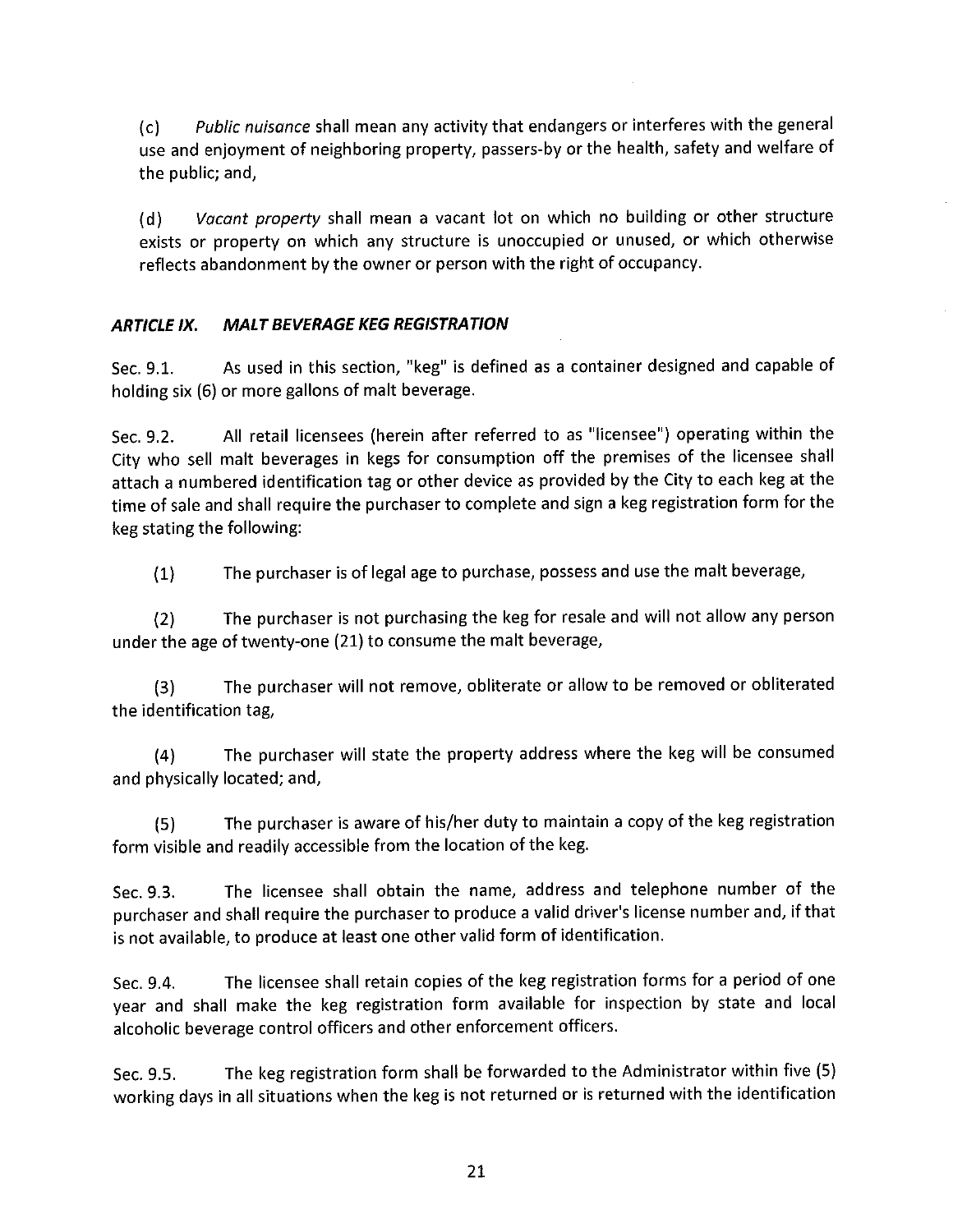*Public nuisance shall mean any activity that endangers or interferes with the general*  $(c)$ use and enjoyment of neighboring property, passers-by or the health, safety and welfare of the public; and,

Vacant property shall mean a vacant lot on which no building or other structure  $(d)$ exists or property on which any structure is unoccupied or unused, or which otherwise reflects abandonment by the owner or person with the right of occupancy.

#### **MALT BEVERAGE KEG REGISTRATION ARTICLE IX.**

As used in this section, "keg" is defined as a container designed and capable of Sec. 9.1. holding six (6) or more gallons of malt beverage.

All retail licensees (herein after referred to as "licensee") operating within the Sec. 9.2. City who sell malt beverages in kegs for consumption off the premises of the licensee shall attach a numbered identification tag or other device as provided by the City to each keg at the time of sale and shall require the purchaser to complete and sign a keg registration form for the keg stating the following:

The purchaser is of legal age to purchase, possess and use the malt beverage,  $(1)$ 

The purchaser is not purchasing the keg for resale and will not allow any person  $(2)$ under the age of twenty-one (21) to consume the malt beverage,

The purchaser will not remove, obliterate or allow to be removed or obliterated  $(3)$ the identification tag.

The purchaser will state the property address where the keg will be consumed  $(4)$ and physically located; and,

The purchaser is aware of his/her duty to maintain a copy of the keg registration  $(5)$ form visible and readily accessible from the location of the keg.

The licensee shall obtain the name, address and telephone number of the Sec. 9.3. purchaser and shall require the purchaser to produce a valid driver's license number and, if that is not available, to produce at least one other valid form of identification.

The licensee shall retain copies of the keg registration forms for a period of one Sec. 9.4. year and shall make the keg registration form available for inspection by state and local alcoholic beverage control officers and other enforcement officers.

The keg registration form shall be forwarded to the Administrator within five (5) Sec. 9.5. working days in all situations when the keg is not returned or is returned with the identification

21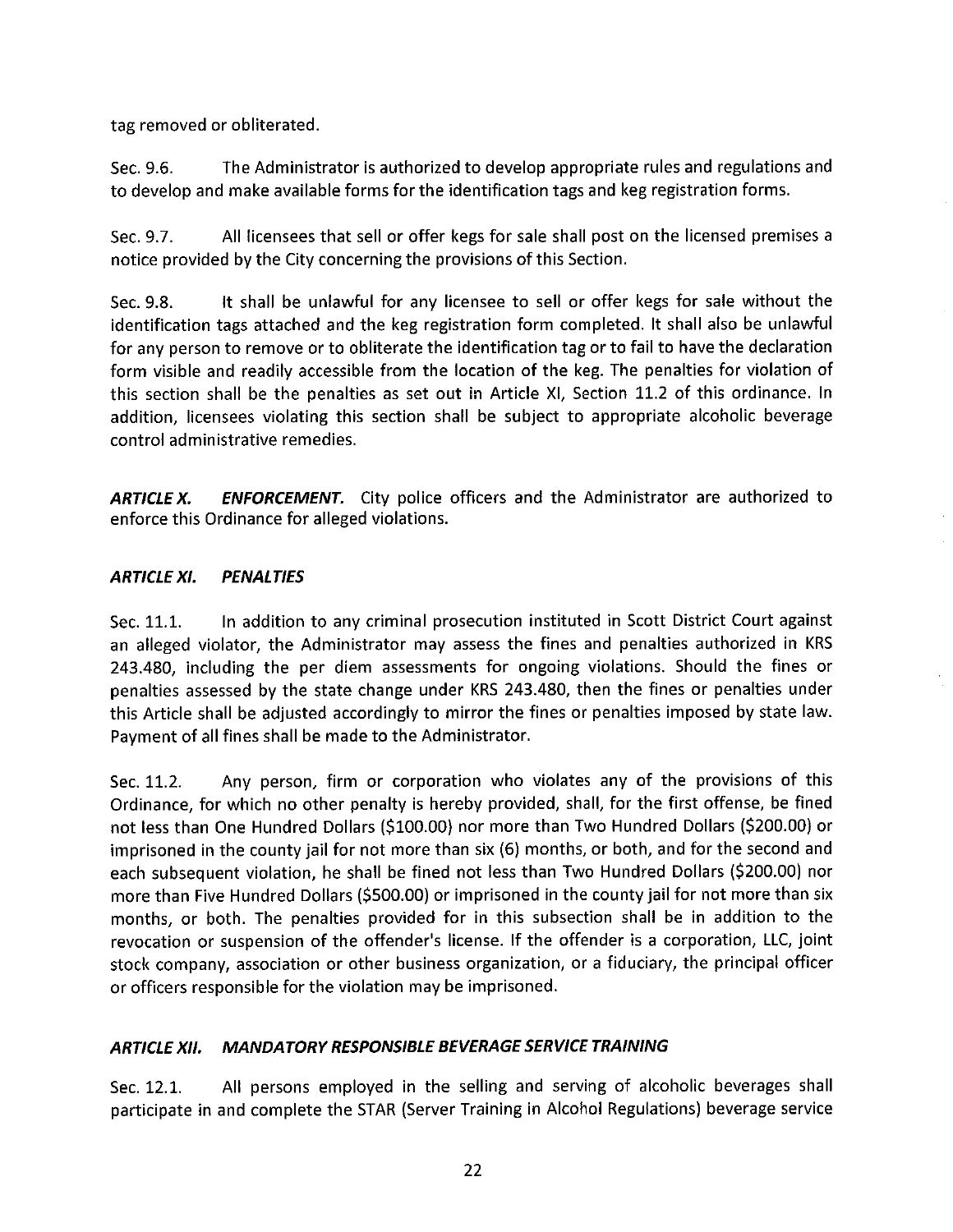tag removed or obliterated.

The Administrator is authorized to develop appropriate rules and regulations and Sec. 9.6. to develop and make available forms for the identification tags and keg registration forms.

All licensees that sell or offer kegs for sale shall post on the licensed premises a Sec. 9.7. notice provided by the City concerning the provisions of this Section.

It shall be unlawful for any licensee to sell or offer kegs for sale without the Sec. 9.8. identification tags attached and the keg registration form completed. It shall also be unlawful for any person to remove or to obliterate the identification tag or to fail to have the declaration form visible and readily accessible from the location of the keg. The penalties for violation of this section shall be the penalties as set out in Article XI, Section 11.2 of this ordinance. In addition, licensees violating this section shall be subject to appropriate alcoholic beverage control administrative remedies.

**ENFORCEMENT.** City police officers and the Administrator are authorized to **ARTICLE X.** enforce this Ordinance for alleged violations.

#### **ARTICLE XI. PENALTIES**

In addition to any criminal prosecution instituted in Scott District Court against Sec. 11.1. an alleged violator, the Administrator may assess the fines and penalties authorized in KRS 243.480, including the per diem assessments for ongoing violations. Should the fines or penalties assessed by the state change under KRS 243.480, then the fines or penalties under this Article shall be adjusted accordingly to mirror the fines or penalties imposed by state law. Payment of all fines shall be made to the Administrator.

Sec. 11.2. Any person, firm or corporation who violates any of the provisions of this Ordinance, for which no other penalty is hereby provided, shall, for the first offense, be fined not less than One Hundred Dollars (\$100.00) nor more than Two Hundred Dollars (\$200.00) or imprisoned in the county jail for not more than six (6) months, or both, and for the second and each subsequent violation, he shall be fined not less than Two Hundred Dollars (\$200.00) nor more than Five Hundred Dollars (\$500.00) or imprisoned in the county jail for not more than six months, or both. The penalties provided for in this subsection shall be in addition to the revocation or suspension of the offender's license. If the offender is a corporation, LLC, joint stock company, association or other business organization, or a fiduciary, the principal officer or officers responsible for the violation may be imprisoned.

#### **MANDATORY RESPONSIBLE BEVERAGE SERVICE TRAINING** ARTICLE XII.

All persons employed in the selling and serving of alcoholic beverages shall Sec. 12.1. participate in and complete the STAR (Server Training in Alcohol Regulations) beverage service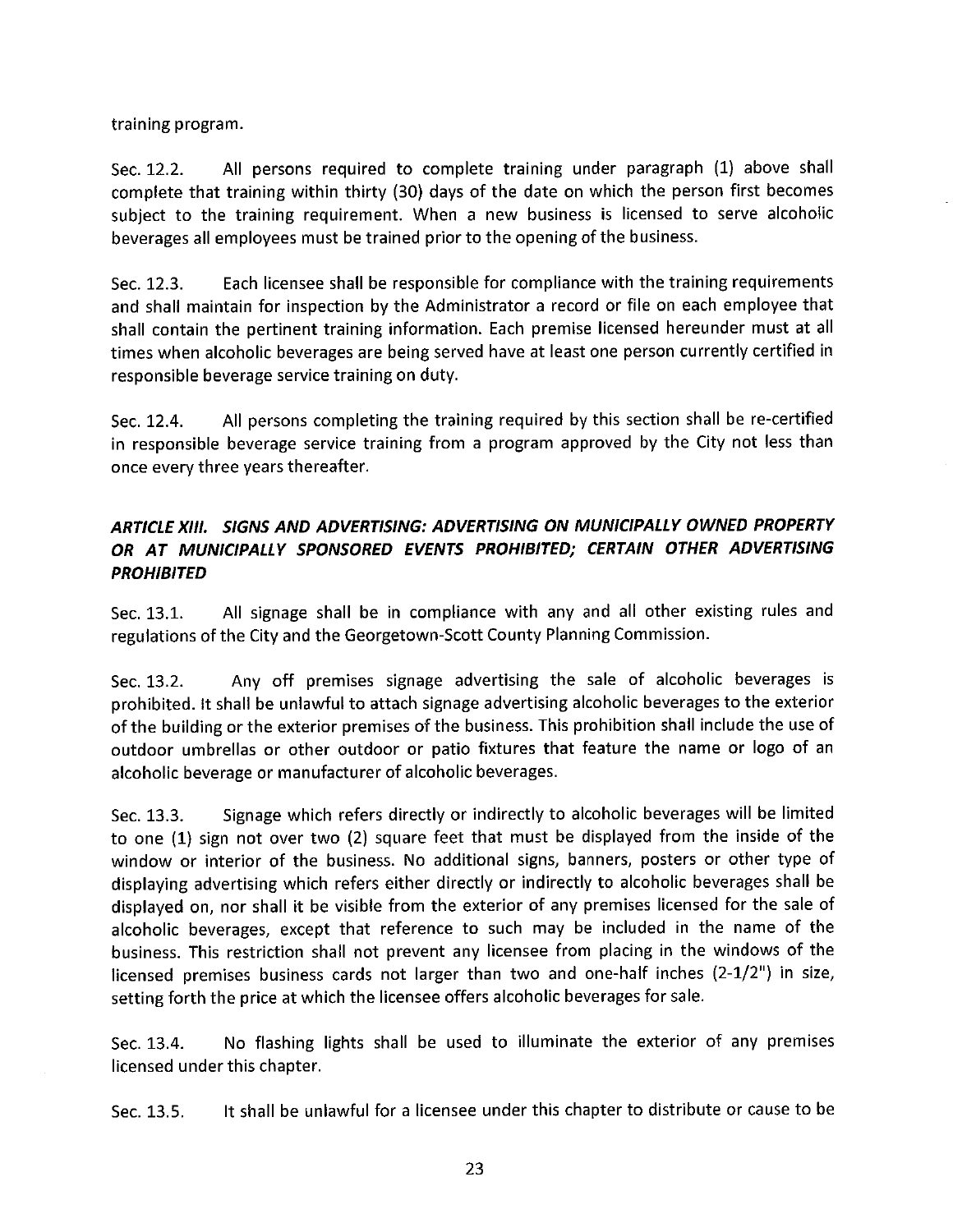training program.

Sec. 12.2. All persons required to complete training under paragraph (1) above shall complete that training within thirty (30) days of the date on which the person first becomes subject to the training requirement. When a new business is licensed to serve alcoholic beverages all employees must be trained prior to the opening of the business.

Each licensee shall be responsible for compliance with the training requirements Sec. 12.3. and shall maintain for inspection by the Administrator a record or file on each employee that shall contain the pertinent training information. Each premise licensed hereunder must at all times when alcoholic beverages are being served have at least one person currently certified in responsible beverage service training on duty.

Sec. 12.4. All persons completing the training required by this section shall be re-certified in responsible beverage service training from a program approved by the City not less than once every three years thereafter.

## ARTICLE XIII. SIGNS AND ADVERTISING: ADVERTISING ON MUNICIPALLY OWNED PROPERTY OR AT MUNICIPALLY SPONSORED EVENTS PROHIBITED; CERTAIN OTHER ADVERTISING **PROHIBITED**

All signage shall be in compliance with any and all other existing rules and Sec. 13.1. regulations of the City and the Georgetown-Scott County Planning Commission.

Any off premises signage advertising the sale of alcoholic beverages is Sec. 13.2. prohibited. It shall be unlawful to attach signage advertising alcoholic beverages to the exterior of the building or the exterior premises of the business. This prohibition shall include the use of outdoor umbrellas or other outdoor or patio fixtures that feature the name or logo of an alcoholic beverage or manufacturer of alcoholic beverages.

Signage which refers directly or indirectly to alcoholic beverages will be limited Sec. 13.3. to one (1) sign not over two (2) square feet that must be displayed from the inside of the window or interior of the business. No additional signs, banners, posters or other type of displaying advertising which refers either directly or indirectly to alcoholic beverages shall be displayed on, nor shall it be visible from the exterior of any premises licensed for the sale of alcoholic beverages, except that reference to such may be included in the name of the business. This restriction shall not prevent any licensee from placing in the windows of the licensed premises business cards not larger than two and one-half inches (2-1/2") in size, setting forth the price at which the licensee offers alcoholic beverages for sale.

No flashing lights shall be used to illuminate the exterior of any premises Sec. 13.4. licensed under this chapter.

It shall be unlawful for a licensee under this chapter to distribute or cause to be Sec. 13.5.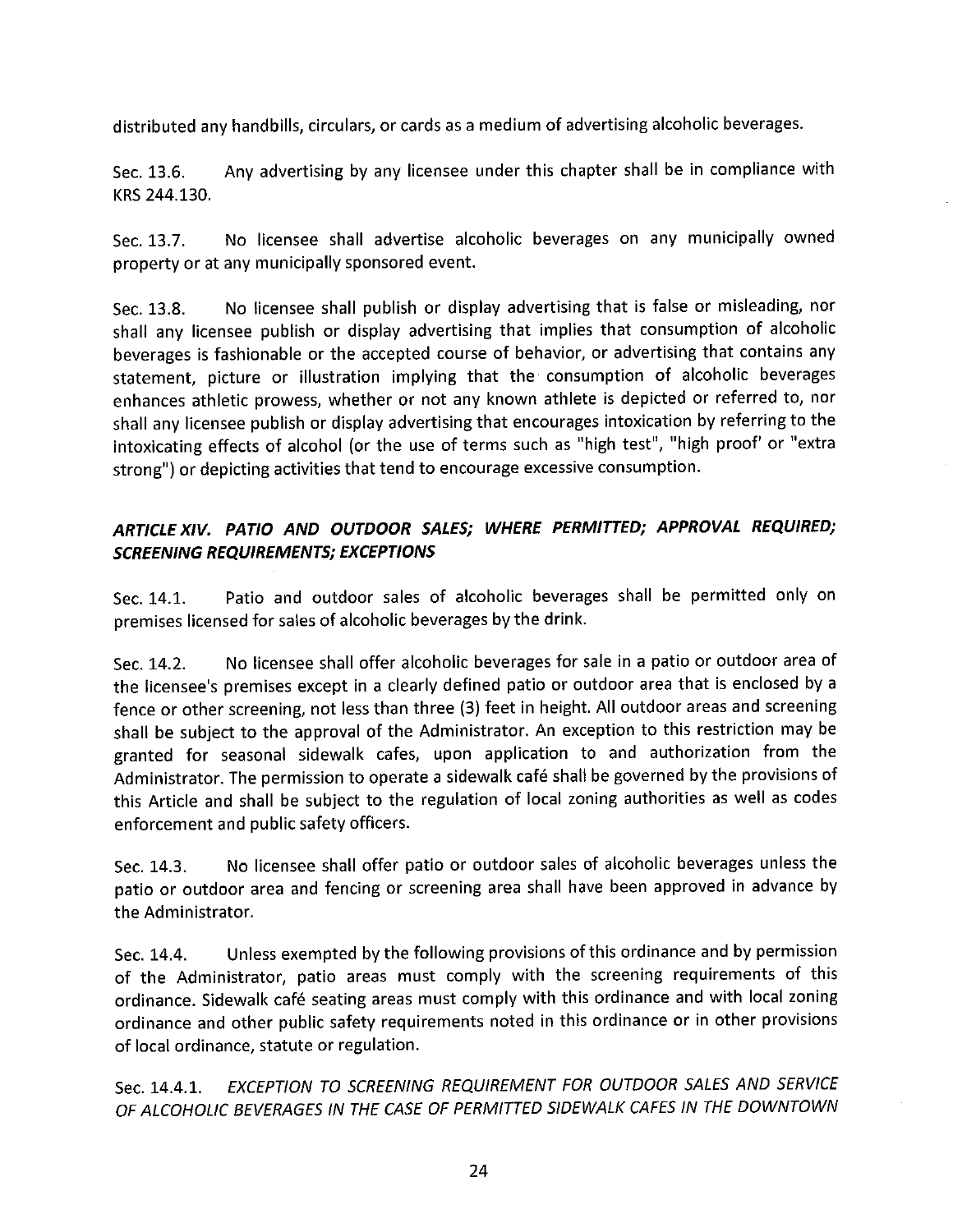distributed any handbills, circulars, or cards as a medium of advertising alcoholic beverages.

Any advertising by any licensee under this chapter shall be in compliance with Sec. 13.6. KRS 244.130.

No licensee shall advertise alcoholic beverages on any municipally owned Sec. 13.7. property or at any municipally sponsored event.

No licensee shall publish or display advertising that is false or misleading, nor Sec. 13.8. shall any licensee publish or display advertising that implies that consumption of alcoholic beverages is fashionable or the accepted course of behavior, or advertising that contains any statement, picture or illustration implying that the consumption of alcoholic beverages enhances athletic prowess, whether or not any known athlete is depicted or referred to, nor shall any licensee publish or display advertising that encourages intoxication by referring to the intoxicating effects of alcohol (or the use of terms such as "high test", "high proof' or "extra strong") or depicting activities that tend to encourage excessive consumption.

# ARTICLE XIV. PATIO AND OUTDOOR SALES; WHERE PERMITTED; APPROVAL REQUIRED; **SCREENING REQUIREMENTS; EXCEPTIONS**

Patio and outdoor sales of alcoholic beverages shall be permitted only on Sec. 14.1. premises licensed for sales of alcoholic beverages by the drink.

No licensee shall offer alcoholic beverages for sale in a patio or outdoor area of Sec. 14.2. the licensee's premises except in a clearly defined patio or outdoor area that is enclosed by a fence or other screening, not less than three (3) feet in height. All outdoor areas and screening shall be subject to the approval of the Administrator. An exception to this restriction may be granted for seasonal sidewalk cafes, upon application to and authorization from the Administrator. The permission to operate a sidewalk café shall be governed by the provisions of this Article and shall be subject to the regulation of local zoning authorities as well as codes enforcement and public safety officers.

No licensee shall offer patio or outdoor sales of alcoholic beverages unless the Sec. 14.3. patio or outdoor area and fencing or screening area shall have been approved in advance by the Administrator.

Unless exempted by the following provisions of this ordinance and by permission Sec. 14.4. of the Administrator, patio areas must comply with the screening requirements of this ordinance. Sidewalk café seating areas must comply with this ordinance and with local zoning ordinance and other public safety requirements noted in this ordinance or in other provisions of local ordinance, statute or regulation.

EXCEPTION TO SCREENING REQUIREMENT FOR OUTDOOR SALES AND SERVICE Sec. 14.4.1. OF ALCOHOLIC BEVERAGES IN THE CASE OF PERMITTED SIDEWALK CAFES IN THE DOWNTOWN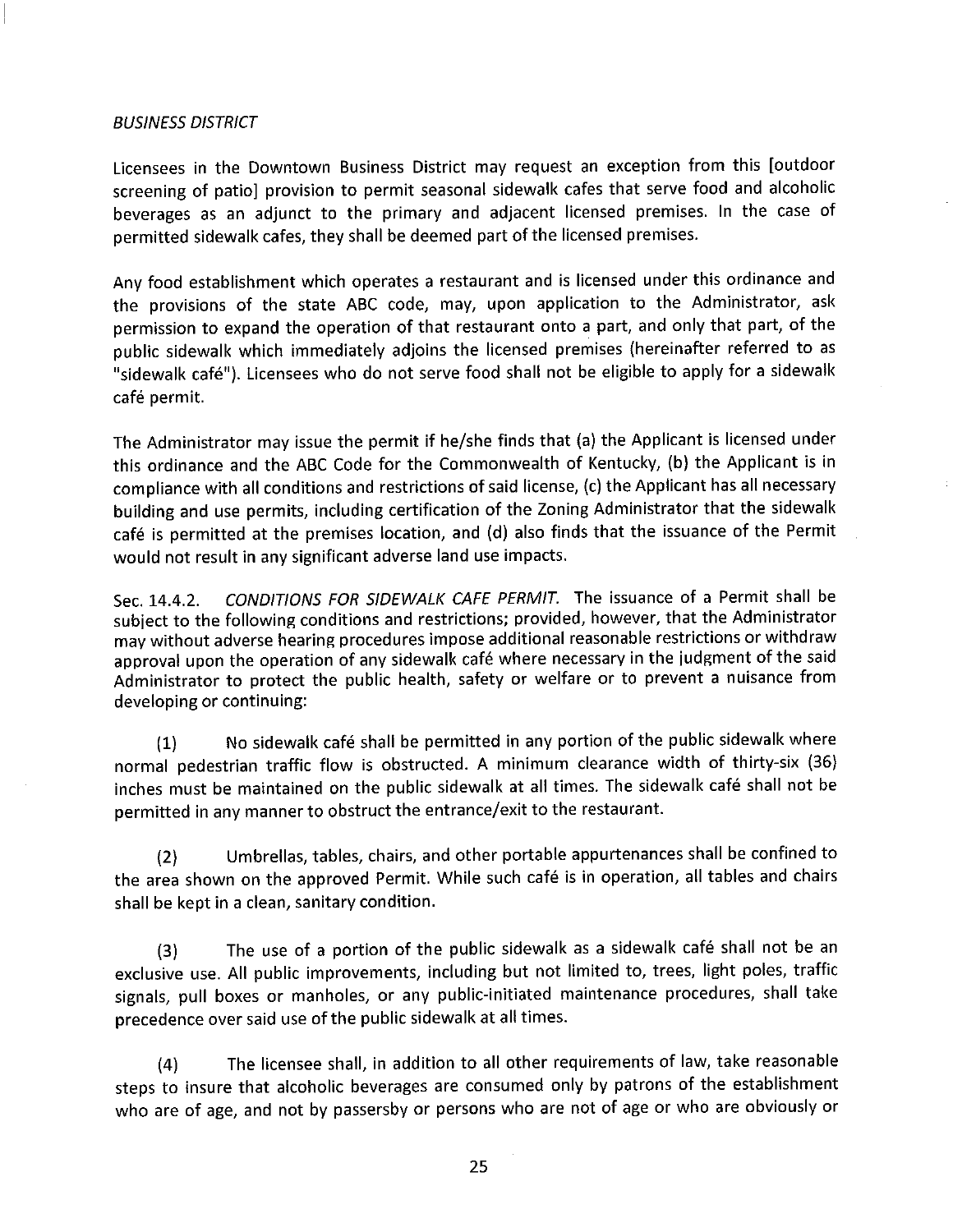### **BUSINESS DISTRICT**

Licensees in the Downtown Business District may request an exception from this [outdoor screening of patio] provision to permit seasonal sidewalk cafes that serve food and alcoholic beverages as an adjunct to the primary and adjacent licensed premises. In the case of permitted sidewalk cafes, they shall be deemed part of the licensed premises.

Any food establishment which operates a restaurant and is licensed under this ordinance and the provisions of the state ABC code, may, upon application to the Administrator, ask permission to expand the operation of that restaurant onto a part, and only that part, of the public sidewalk which immediately adjoins the licensed premises (hereinafter referred to as "sidewalk café"). Licensees who do not serve food shall not be eligible to apply for a sidewalk café permit.

The Administrator may issue the permit if he/she finds that (a) the Applicant is licensed under this ordinance and the ABC Code for the Commonwealth of Kentucky, (b) the Applicant is in compliance with all conditions and restrictions of said license, (c) the Applicant has all necessary building and use permits, including certification of the Zoning Administrator that the sidewalk café is permitted at the premises location, and (d) also finds that the issuance of the Permit would not result in any significant adverse land use impacts.

CONDITIONS FOR SIDEWALK CAFE PERMIT. The issuance of a Permit shall be Sec. 14.4.2. subject to the following conditions and restrictions; provided, however, that the Administrator may without adverse hearing procedures impose additional reasonable restrictions or withdraw approval upon the operation of any sidewalk café where necessary in the judgment of the said Administrator to protect the public health, safety or welfare or to prevent a nuisance from developing or continuing:

No sidewalk café shall be permitted in any portion of the public sidewalk where  $(1)$ normal pedestrian traffic flow is obstructed. A minimum clearance width of thirty-six (36) inches must be maintained on the public sidewalk at all times. The sidewalk café shall not be permitted in any manner to obstruct the entrance/exit to the restaurant.

Umbrellas, tables, chairs, and other portable appurtenances shall be confined to  $(2)$ the area shown on the approved Permit. While such café is in operation, all tables and chairs shall be kept in a clean, sanitary condition.

The use of a portion of the public sidewalk as a sidewalk café shall not be an  $(3)$ exclusive use. All public improvements, including but not limited to, trees, light poles, traffic signals, pull boxes or manholes, or any public-initiated maintenance procedures, shall take precedence over said use of the public sidewalk at all times.

The licensee shall, in addition to all other requirements of law, take reasonable  $(4)$ steps to insure that alcoholic beverages are consumed only by patrons of the establishment who are of age, and not by passersby or persons who are not of age or who are obviously or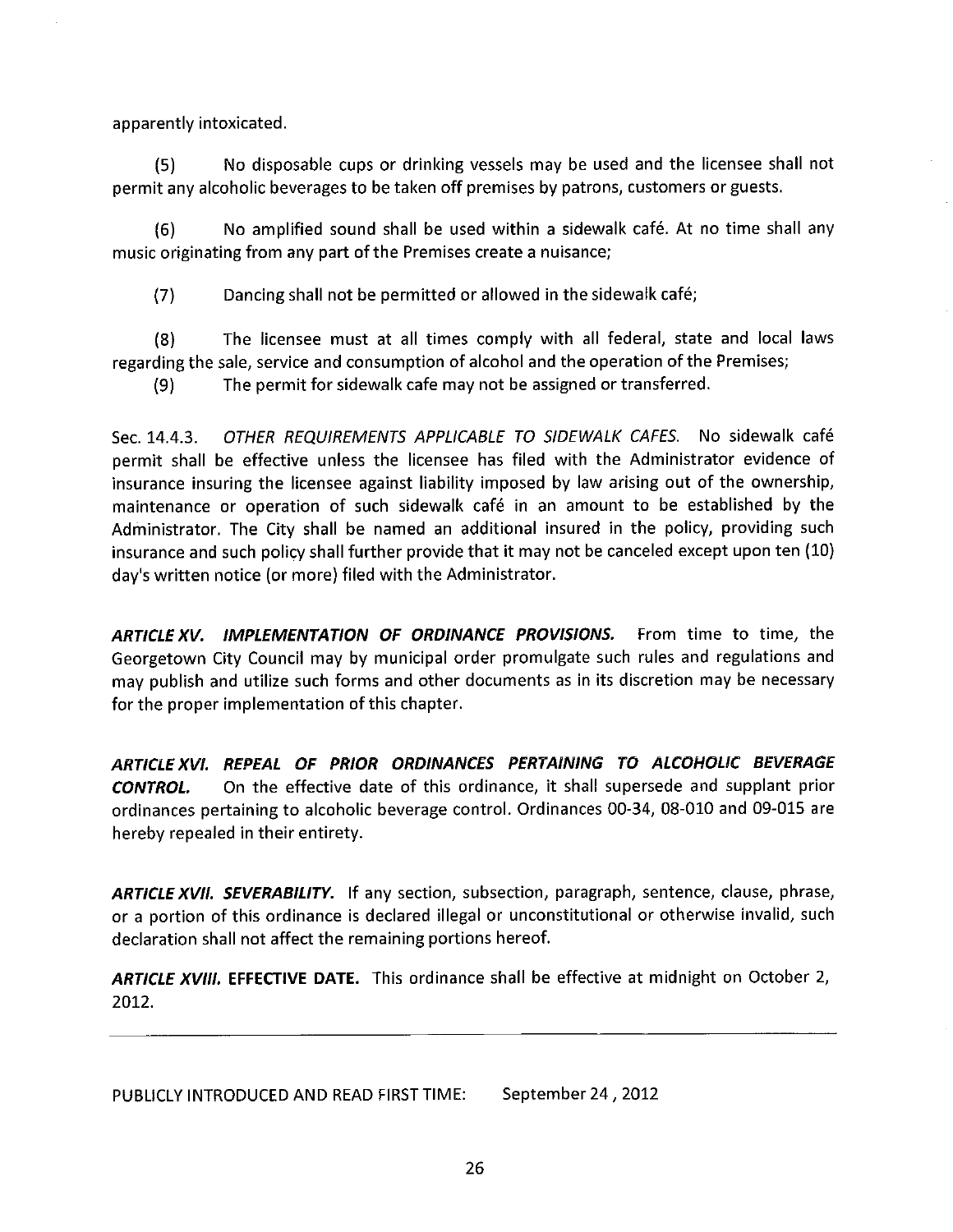apparently intoxicated.

No disposable cups or drinking vessels may be used and the licensee shall not  $(5)$ permit any alcoholic beverages to be taken off premises by patrons, customers or guests.

 $(6)$ No amplified sound shall be used within a sidewalk café. At no time shall any music originating from any part of the Premises create a nuisance;

 $(7)$ Dancing shall not be permitted or allowed in the sidewalk café;

The licensee must at all times comply with all federal, state and local laws  $(8)$ regarding the sale, service and consumption of alcohol and the operation of the Premises;

The permit for sidewalk cafe may not be assigned or transferred.  $(9)$ 

OTHER REQUIREMENTS APPLICABLE TO SIDEWALK CAFES. No sidewalk café Sec. 14.4.3. permit shall be effective unless the licensee has filed with the Administrator evidence of insurance insuring the licensee against liability imposed by law arising out of the ownership, maintenance or operation of such sidewalk café in an amount to be established by the Administrator. The City shall be named an additional insured in the policy, providing such insurance and such policy shall further provide that it may not be canceled except upon ten (10) day's written notice (or more) filed with the Administrator.

ARTICLE XV. IMPLEMENTATION OF ORDINANCE PROVISIONS. From time to time, the Georgetown City Council may by municipal order promulgate such rules and regulations and may publish and utilize such forms and other documents as in its discretion may be necessary for the proper implementation of this chapter.

ARTICLE XVI. REPEAL OF PRIOR ORDINANCES PERTAINING TO ALCOHOLIC BEVERAGE On the effective date of this ordinance, it shall supersede and supplant prior **CONTROL.** ordinances pertaining to alcoholic beverage control. Ordinances 00-34, 08-010 and 09-015 are hereby repealed in their entirety.

ARTICLE XVII. SEVERABILITY. If any section, subsection, paragraph, sentence, clause, phrase, or a portion of this ordinance is declared illegal or unconstitutional or otherwise invalid, such declaration shall not affect the remaining portions hereof.

ARTICLE XVIII. EFFECTIVE DATE. This ordinance shall be effective at midnight on October 2, 2012.

PUBLICLY INTRODUCED AND READ FIRST TIME: September 24, 2012